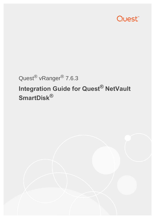

# Quest® vRanger® 7.6.3

# **Integration Guide for Quest® NetVault SmartDisk®**

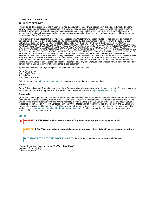#### **© 2017 Quest Software Inc.**

#### **ALL RIGHTS RESERVED.**

This guide contains proprietary information protected by copyright. The software described in this guide is furnished under a software license or nondisclosure agreement. This software may be used or copied only in accordance with the terms of the applicable agreement. No part of this guide may be reproduced or transmitted in any form or by any means, electronic or mechanical, including photocopying and recording for any purpose other than the purchaser's personal use without the written permission of Quest Software Inc.

The information in this document is provided in connection with Quest Software products. No license, express or implied, by estoppel or otherwise, to any intellectual property right is granted by this document or in connection with the sale of Quest<br>Software products. EXCEPT AS SET FORTH IN THE TERMS AND CONDITIONS AS SPECIFIED IN THE LICENSE<br>A EXPRESS, IMPLIED OR STATUTORY WARRANTY RELATING TO ITS PRODUCTS INCLUDING, BUT NOT LIMITED TO, THE IMPLIED WARRANTY OF MERCHANTABILITY, FITNESS FOR A PARTICULAR PURPOSE, OR NON-INFRINGEMENT. IN NO EVENT SHALL QUEST SOFTWARE BE LIABLE FOR ANY DIRECT, INDIRECT, CONSEQUENTIAL, PUNITIVE, SPECIAL OR INCIDENTAL DAMAGES (INCLUDING, WITHOUT LIMITATION, DAMAGES FOR LOSS OF PROFITS, BUSINESS<br>INTERRUPTION OR LOSS OF INFORMATION) ARISING OUT OF THE USE OR INABILITY TO USE THIS DOCUMENT, EVEN IF QUEST SOFTWARE HAS BEEN ADVISED OF THE POSSIBILITY OF SUCH DAMAGES. Quest Software makes no representations or warranties with respect to the accuracy or completeness of the contents of this document and reserves the right to make changes to specifications and product descriptions at any time without notice. Quest Software does not make any commitment to update the information contained in this document.

If you have any questions regarding your potential use of this material, contact:

Quest Software Inc. Attn: LEGAL Dept. 4 Polaris Way Aliso Viejo, CA 92656

Refer to our website [\(https://www.quest.com\)](https://www.quest.com) for regional and international office information.

#### **Patents**

Quest Software is proud of our advanced technology. Patents and pending patents may apply to this product. For the most current information about applicable patents for this product, please visit our website at <https://www.quest.com/legal>.

#### **Trademarks**

Quest, the Quest logo, Foglight, NetVault, vRanger, and Join the Innovation are trademarks and registered trademarks of Quest Software Inc. vCenter, vSphere, vMotion, VMware, and ESXi are registered trademarks or trademarks of VMware, Inc. in the<br>United States and/or other jurisdictions. Active Directory, Hyper-V, SharePoint, SQL Server, Windows, trademarks or registered trademarks of EMC Corporation in the United States and other countries. For a complete list of Quest marks, visit<https://www.quest.com/legal/trademark-information.aspx>. All other trademarks and registered trademarks are property of their respective owners.

#### **Legend**

**WARNING: A WARNING icon indicates a potential for property damage, personal injury, or death.**

**CAUTION: A CAUTION icon indicates potential damage to hardware or loss of data if instructions are not followed.** Ţ

**IMPORTANT NOTE**, **NOTE**, **TIP**, **MOBILE**, or **VIDEO:** An information icon indicates supporting information.i

vRanger Integration Guide for Quest<sup>®</sup> NetVault SmartDisk<sup>®</sup> Updated - October 2017 Software Version - 7.6.3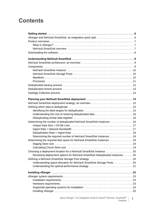## **Contents**

| Determining the number of deduplicated NetVault SmartDisk Instances  16        |  |
|--------------------------------------------------------------------------------|--|
|                                                                                |  |
|                                                                                |  |
|                                                                                |  |
| Determining the required number of NetVault SmartDisk Instances 18             |  |
| Determining the required disk space for NetVault SmartDisk Instances  19       |  |
|                                                                                |  |
|                                                                                |  |
| Choosing a deployment location for a NetVault SmartDisk Instance 20            |  |
| Reviewing deployment options for NetVault SmartDisk Deduplicated Instances  20 |  |
|                                                                                |  |
| Understanding space allocation for NetVault SmartDisk Storage Pools 20         |  |
|                                                                                |  |
|                                                                                |  |
|                                                                                |  |
|                                                                                |  |
|                                                                                |  |
|                                                                                |  |
|                                                                                |  |

Quest vRanger 7.6.3 Integration Guide for Quest<sup>®</sup> NetVault SmartDisk<sup>®</sup> Contents **3**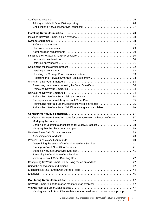| Updating the Storage Pool directory structure 33                             |  |
|------------------------------------------------------------------------------|--|
| Protecting the NetVault SmartDisk unique identity 33                         |  |
|                                                                              |  |
| Preserving data before removing NetVault SmartDisk 34                        |  |
|                                                                              |  |
|                                                                              |  |
|                                                                              |  |
| Prerequisites for reinstalling NetVault SmartDisk 35                         |  |
|                                                                              |  |
| Reinstalling NetVault SmartDisk if identity.cfg is available 35              |  |
| Reinstalling NetVault SmartDisk if identity.cfg is not available 36          |  |
|                                                                              |  |
| Configuring NetVault SmartDisk ports for communication with your software 37 |  |
|                                                                              |  |
|                                                                              |  |
|                                                                              |  |
|                                                                              |  |
|                                                                              |  |
|                                                                              |  |
|                                                                              |  |
|                                                                              |  |
|                                                                              |  |
|                                                                              |  |
|                                                                              |  |
| Configuring NetVault SmartDisk by using the command line  42                 |  |
|                                                                              |  |
|                                                                              |  |
|                                                                              |  |
|                                                                              |  |
|                                                                              |  |
| NetVault SmartDisk performance monitoring: an overview  47                   |  |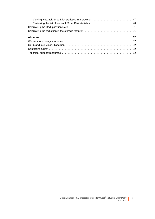| Viewing NetVault SmartDisk statistics in a browser  47  |  |
|---------------------------------------------------------|--|
| Reviewing the list of NetVault SmartDisk statistics  48 |  |
|                                                         |  |
|                                                         |  |
|                                                         |  |
|                                                         |  |
|                                                         |  |
|                                                         |  |
|                                                         |  |

**5**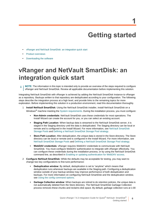## **Getting started**

- <span id="page-5-0"></span>**•** [vRanger and NetVault SmartDisk: an integration quick start](#page-5-1)
- **•** [Product overviews](#page-6-0)
- **•** [Downloading the software](#page-7-0)

## <span id="page-5-1"></span>**vRanger and NetVault SmartDisk: an integration quick start**

**NOTE:** The information in this topic is intended only to provide an overview of the steps required to configure vRanger and NetVault SmartDisk. Review all applicable documentation before implementing this solution.

Integrating NetVault SmartDisk with vRanger is achieved by adding the NetVault SmartDisk Instance to vRanger as a repository. Backups written to that repository are deduplicated according to your configuration. The following steps describe the integration process at a high level, and provide links to the remaining topics for more exploration. Before implementing this solution in a production environment, read this documentation thoroughly.

- 1 **Install NetVault SmartDisk:** Using the NetVault SmartDisk installer, install NetVault SmartDisk on a Windows<sup>®</sup> machine meeting the [System requirements](#page-27-4). During the installation process, you must configure:
	- **▪ Non-Admin credentials**: NetVault SmartDisk uses these credentials for most operations. The Install Wizard can create the account for you, or you can select an existing account.
	- **▪ Staging Path Location**: When backup data is streamed to the NetVault SmartDisk server, it is staged in the Staging directory until the data is deduplicated. The Staging directory can be local or remote and is configured in the Install Wizard. For more information, see [NetVault SmartDisk](#page-9-3)  [Storage Pools](#page-9-3) and [Defining a NetVault SmartDisk Storage Pool strategy](#page-19-4).
	- **▪ Store Path Location**: After deduplication, the unique data is stored in the Store directory. The Store directory can be local or remote and is configured in the Install Wizard. For more information, see [NetVault SmartDisk Storage Pools](#page-9-3) and [Defining a NetVault SmartDisk Storage Pool strategy](#page-19-4).
	- **▪ WebDAV credentials**: vRanger requires WebDAV credentials to communicate with NetVault SmartDisk. You must configure WebDAV authentication to integrate with vRanger effectively. You can configure these credentials during the installation process, or by using the NetVault SmartDisk command line, as described in [Enabling or updating authentication for WebDAV access](#page-37-1).
- 2 **Configure NetVault SmartDisk:** While the defaults may be acceptable for testing, you may want to change two key configurations to fine-tune performance:
	- **Deduplication window**: By default, deduplication is set to "anytime" which means that deduplication runs whenever backups are available in the Staging path. Configuring a deduplication window outside of your backup window may improve performance of both deduplication and backups. For more information on configuring NetVault SmartDisk and the deduplication window, see [Using the config command options](#page-41-3).
	- Garbage Collection window: When backups are retired to do retention policies, the unique data is not automatically deleted from the Store directory. The NetVault SmartDisk Garbage Collection process removes these chunks and reclaims disk space. By default, garbage collection runs at 1:00

**6**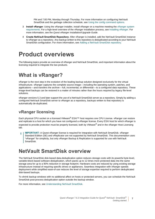PM and 7:00 PM, Monday through Thursday. For more information on configuring NetVault SmartDisk and the garbage collection schedule, see [Using the config command options](#page-41-3).

- 3 **Install vRanger**: Using the vRanger installer, install vRanger on a machine meeting the [vRanger system](#page-22-4)  [requirements](#page-22-4). For a high-level overview of the vRanger installation process, see [Installing vRanger](#page-24-2). For more information, see the *Quest vRanger Installation/Upgrade Guide*.
- 4 **Create NetVault SmartDisk Repository**: After vRanger is installed, add the NetVault SmartDisk Instance to vRanger as a repository. Any backup written to this repository is deduplicated according to your NetVault SmartDisk configuration. For more information, see [Adding a NetVault SmartDisk repository.](#page-25-1)

## <span id="page-6-0"></span>**Product overviews**

The following topics provide an overview of vRanger and NetVault SmartDisk, and important information about the licensing required to integrate the two products.

### <span id="page-6-1"></span>**What is vRanger?**

vRanger is the next step in the evolution of the leading backup solution designed exclusively for the virtual infrastructure. vRanger captures the complete source image — including the operating system, patches, and applications — and transfers the archive — full, incremental, or differential — to a configured data repository. These image-level backups can be restored in a matter of minutes rather than the hours required by legacy file-level solutions.

vRanger versions 5.3 and later support the use of a NetVault SmartDisk server as a repository. Simply by adding a configured NetVault SmartDisk server to vRanger as a repository, backups written to that repository is automatically de-duplicated.

### **vRanger licensing**

Each physical CPU socket on a licensed VMware® ESXi™ host requires one CPU License. vRanger can restore and replicate to a host for which you have not configured a vRanger license. Every ESXi host for which vRanger is expected to provide protection must be properly licensed, both by VMware® and in the vRanger Host Licensing tab.

**IMPORTANT:** A Quest vRanger license is required for integration with NetVault SmartDisk. vRanger Standard Edition (SE) and vReplicator are not supported by NetVault SmartDisk. This documentation uses "vRanger" for simplicity, but only vRanger Backup & Replication is supported for use with NetVault SmartDisk.

### <span id="page-6-2"></span>**NetVault SmartDisk overview**

The NetVault SmartDisk disk-based data-deduplication option reduces storage costs with its powerful byte-level, variable-block-based software deduplication, which packs up to 12 times more protected data into the same storage area for up to a 90% reduction in storage footprint. Hardware costs are reduced by using existing storage infrastructure instead of requiring specific drives or appliances. Seamless integration with vRanger speeds deployment while simplified ease-of-use reduces the level of storage expertise required to perform deduplicated disk-based backups.

To shrink backup windows with no additional affect on hosts or protected servers, you can schedule the NetVault SmartDisk post-process deduplication option outside the backup window.

For more information, see [Understanding NetVault SmartDisk.](#page-8-3)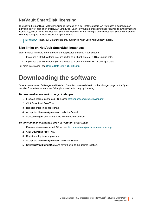### **NetVault SmartDisk licensing**

The NetVault SmartDisk - vRanger Edition is licensed on a per-instance basis. An "instance" is defined as an individual server installation of NetVault SmartDisk. Each NetVault SmartDisk Instance requires its own permanent license key, which is tied to a NetVault SmartDisk Machine ID that is unique to each NetVault SmartDisk Instance. You may configure multiple repositories per instance.

**I IMPORTANT:** NetVault SmartDisk is only supported when used with Quest vRanger.

#### **Size limits on NetVault SmartDisk Instances**

Each instance is limited in the amount of deduplicated data that it can support:

- **•** If you use a 32-bit platform, you are limited to a Chunk Store of 5 TB of unique data.
- **•** If you use a 64-bit platform, you are limited to a Chunk Store of 15 TB of unique data.

For more information, see [Unique Data Size > OS Bit Limit.](#page-16-2)

## <span id="page-7-0"></span>**Downloading the software**

Evaluation versions of vRanger and NetVault SmartDisk are available from the vRanger page on the Quest website. Evaluation versions are full applications limited only by licensing.

#### *To download an evaluation copy of vRanger:*

- 1 From an internet-connected PC, access [http://quest.com/products/vranger/.](http://quest.com/products/vranger/)
- 2 Click **Download Free Trial**.
- 3 Register or log in as appropriate.
- 4 Accept the **License Agreement**, and click **Submit**.
- 5 Select **vRanger**, and save the file to the desired location.

#### *To download an evaluation copy of NetVault SmartDisk:*

- 1 From an internet-connected PC, access [http://quest.com/products/netvault-backup/.](http://quest.com/products/netvault-backup/)
- 2 Click **Download Free Trial**.
- 3 Register or log in as appropriate.
- 4 Accept the **License Agreement**, and click **Submit**.
- 5 Select **NetVault SmartDisk,** and save the file to the desired location.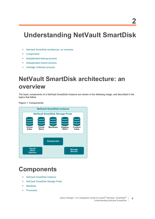## <span id="page-8-3"></span><span id="page-8-0"></span>**Understanding NetVault SmartDisk**

- **•** [NetVault SmartDisk architecture: an overview](#page-8-1)
- **•** [Components](#page-8-2)
- **•** [Deduplicated backup process](#page-11-0)
- **•** [Deduplicated restore process](#page-12-0)
- **•** [Garbage Collection process](#page-13-0)

## <span id="page-8-1"></span>**NetVault SmartDisk architecture: an overview**

The basic components of a NetVault SmartDisk Instance are shown in the following image, and described in the topics that follow.

**Figure 1. Components**



## <span id="page-8-2"></span>**Components**

- **•** [NetVault SmartDisk Instance](#page-9-0)
- **•** [NetVault SmartDisk Storage Pools](#page-9-1)
- **•** [Manifests](#page-9-2)
- **•** [Processes](#page-10-0)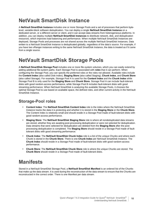## <span id="page-9-0"></span>**NetVault SmartDisk Instance**

A **NetVault SmartDisk Instance** includes one or more Storage Pools and a set of processes that perform bytelevel, variable-block software deduplication. You can deploy a single **NetVault SmartDisk Instance** on a dedicated server, or a different server or client, and it can accept data streams from heterogeneous platforms. In addition, you can deploy multiple **NetVault SmartDisk Instances** to distribute network, disk, and deduplication resources, which improves load balancing and performance. When multiple NetVault SmartDisk Instances are deployed, Storage Pools and processes are not shared across the multiple NetVault SmartDisk Instances. Data written to a NetVault SmartDisk Instance is deduplicated globally, regardless of the data's source. For example, if you have two vRanger instances writing to the same NetVault SmartDisk Instance, the data is treated as if it came from a single source.

## <span id="page-9-3"></span><span id="page-9-1"></span>**NetVault SmartDisk Storage Pools**

A **NetVault SmartDisk Storage Pool** includes one or more file-system volumes, which you can easily extend by adding additional file-system paths. Each Storage Pool is associated with *roles* that it can perform. When configuring the Storage Pool, you can specify the preferred roles or the roles not allowed. Available roles include the **Content Index** (also called Disk Index), **Staging Store** (also called Staging), **Chunk Index**, and **Chunk Store** (also called Storage). For example, Storage Pool A is used for the **Content Index** and the **Chunk Index** while Storage Pool B is only used for the **Staging Store** and **Chunk Store**. Storage Pool A can include fault-tolerant disks with good random-access performance, while Storage Pool B includes fault-tolerant disks with good streaming performance. When NetVault SmartDisk is analyzing the available Storage Pools, it chooses the optimal Storage Pool to use based on available space, the defined roles, and other current activity in the NetVault SmartDisk Instance.

### **Storage-Pool roles**

- **Content Index**: The **NetVault SmartDisk Content Index** role is the index where the NetVault SmartDisk Instance tracks the data it is protecting and whether it is stored in the **Staging Store** or the **Chunk Store**. The Content Index is relatively small and should reside in a Storage Pool made of fault-tolerant disks with good random-access performance.
- **Staging Store**: The **NetVault SmartDisk Staging Store** role is where all nondeduplicated data streams are stored, whether they are awaiting post-processing deduplication or were not selected for deduplication. Data streams that were selected for deduplication are deleted from the **Staging Store** after the postprocessing deduplication is completed. The **Staging Store** should reside in a Storage Pool made of faulttolerant disks with good streaming performance.
- **Chunk Index**: The **NetVault SmartDisk Chunk Index** role is a list of the unique Chunks and where each Chunk is stored in the **Chunk Store**. There is one **Chunk Index** per NetVault SmartDisk Instance. The **Chunk Index** should reside in a Storage Pool made of fault-tolerant disks with good random-access performance.
- **Chunk Store**: The **NetVault SmartDisk Chunk Store** role is where the unique Chunks are stored. The **Chunk Store** should reside in a Storage Pool made of fault-tolerant disks.

### <span id="page-9-2"></span>**Manifests**

Stored in a NetVault SmartDisk Storage Pool, a **NetVault SmartDisk Manifest** is an ordered list of the Chunks that make up the data stream. It is used during the reconstruction of the data stream to ensure that the Chunks are reconstructed in the correct order. There is one Manifest per data stream.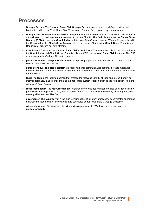### <span id="page-10-0"></span>**Processes**

- **Storage Service**: The **NetVault SmartDisk Storage Service** listens on a user-defined port for data flowing to and from NetVault SmartDisk. There is one Storage Server process per data stream.
- **Deduplicator**: The **NetVault SmartDisk Deduplicator** performs byte-level, variable-block software-based deduplication by breaking the data streams into unique Chunks. The Deduplicator uses the **Chunk Store Daemon (CSD)** to query the **Chunk Index** to determine if the Chunk is unique. When a Chunk is found in the Chunk Index, the **Chunk Store Daemon** stores the unique Chunk in the **Chunk Store**. There is one Deduplicator process per data stream.
- **Chunk Store Daemon**: The **NetVault SmartDisk Chunk Store Daemon** is the only process that writes to the **Chunk Index** and **Chunk Store**. There is only one CSD per **NetVault SmartDisk Instance**. The CSD also manages the Garbage Collection process.
- **percolatormonitor**: The **percolatormonitor** is a privileged process that launches and monitors other NetVault SmartDisk Processes.
- **percolatorslave**: The **percolatorslave** is responsible for communication routing. It routes messages between NetVault SmartDisk Processes on the local machine and between NetVault SmartDisk and other remote servers.
- **logd**: The **logd** is the logging daemon that creates the NetVault SmartDisk logs and stores them in an internal database. It also sends them to the applicable system location, such as the Application log in the Windows® Event Viewer.
- **resourcemanager**: The **resourcemanager** manages the combined number and size of all trace files by periodically deleting inactive files, that is, those files that are not associated with any running processes, starting with the oldest files first.
- **superserver**: The **superserver** is the high-level manager of all other processes. It coordinates operations, balances the load between file systems, and schedules deduplication and Garbage Collection.
- **winservicerunner**: On Windows, the **winservicerunner** runs the Windows Service and starts the **percolatormonitor**.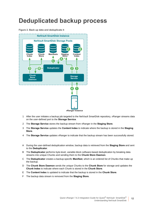## <span id="page-11-0"></span>**Deduplicated backup process**

#### **Figure 2. Back up data and deduplicate it**



- 1 After the user initiates a backup job targeted to the NetVault SmartDisk repository, vRanger streams data on the user-defined port to the **Storage Service**.
- 2 The **Storage Service** stores the backup stream from vRanger in the **Staging Store**.
- 3 The **Storage Service** updates the **Content Index** to indicate where the backup is stored in the **Staging Store**.
- 4 The **Storage Service** updates vRanger to indicate that the backup stream has been successfully stored.
- A During the user-defined deduplication window, backup data is retrieved from the **Staging Store** and sent to the **Deduplicator**.
- B The **Deduplicator** performs byte-level, variable-block software-based deduplication by breaking data streams into unique Chunks and sending them to the **Chunk Store Daemon**.
- C The **Deduplicator** creates a backup-specific **Manifest**, which is an ordered list of Chunks that make up the backup.
- D The **Chunk Store Daemon** sends the unique Chunks to the **Chunk Store** for storage and updates the **Chunk Index** to indicate where each Chunk is stored in the **Chunk Store**.
- E The **Content Index** is updated to indicate that the backup is stored in the **Chunk Store**.
- F The backup data stream is removed from the **Staging Store**.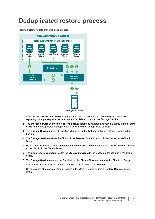## <span id="page-12-0"></span>**Deduplicated restore process**

#### **Figure 3. Restore data that was deduplicated**



- 1 After the user initiates a restore of a deduplicated backup that is stored on the NetVault SmartDisk repository, vRanger requests the data on the user-defined port from the **Storage Service**.
- 2 The **Storage Service** queries the **Content Index** to determine whether the backup is stored in the **Staging Store** for nondeduplicated backups or the **Chunk Store** for deduplicated backups.
- 3 The **Storage Service** queries the backup's Manifest for the first or next batch of Chunk Names in the backup.
- <span id="page-12-1"></span>4 The **Storage Service** queries the **Chunk Store Daemon** for the location of the Chunks in the **Chunk Store**.
- 5 Using Chunk Names from the **Manifest**, the **Chunk Store Daemon** queries the **Chunk Index** for pointers to the Chunks in the **Chunk Store**.
- 6 The **Chunk Store Daemon** provides the **Storage Service** with the location of the Chunks in the **Chunk Store**.
- <span id="page-12-2"></span>7 The **Storage Service** retrieves the Chunks from the **Chunk Store** and streams the Chunk to vRanger.

[Step 4](#page-12-1) through [Step 7](#page-12-2) repeat for each batch of Chunk Names in the **Manifest**.

On completion of restoring all Chunk Names in Manifest, vRanger returns a **Restore Completed** job status.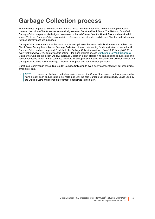## <span id="page-13-0"></span>**Garbage Collection process**

When backups targeted to NetVault SmartDisk are retired, the data is removed from the backup database; however, the unique Chunks are not automatically removed from the **Chunk Store**. The NetVault SmartDisk Garbage Collection process is designed to remove orphaned Chunks from the **Chunk Store** and reclaim disk space. To do so, Garbage Collection maintains reference counts of added and deleted Chunks, and it deletes or rewrites partially used Chunk pages.

Garbage Collection cannot run at the same time as deduplication, because deduplication needs to write to the Chunk Store. During the configured Garbage Collection window, data waiting for deduplication is queued until Garbage Collection has completed. By default, the Garbage Collection window is from 18:00 through 06:00 on every night; however, you can revise this setting—for more information, see [Configuring NetVault SmartDisk](#page-36-3). Outside the Garbage Collection window, Garbage Collection is only started if no data is being deduplicated or is queued for deduplication. If data becomes available for deduplication outside the Garbage Collection window and Garbage Collection is active, Garbage Collection is stopped and deduplication proceeds.

Quest also recommends scheduling regular Garbage Collection to avoid delays associated with collecting large amounts of data.

**NOTE:** If a backup job that uses deduplication is canceled, the Chunk Store space used by segments that f have already been deduplicated is not reclaimed until the next Garbage Collection occurs. Space used by the Staging Store and license enforcement is reclaimed immediately.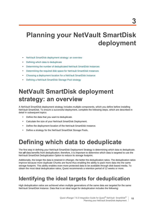## <span id="page-14-0"></span>**Planning your NetVault SmartDisk deployment**

- **•** [NetVault SmartDisk deployment strategy: an overview](#page-14-1)
- **•** [Defining which data to deduplicate](#page-14-2)
- **•** [Determining the number of deduplicated NetVault SmartDisk Instances](#page-15-2)
- **•** [Determining the required disk space for NetVault SmartDisk Instances](#page-18-0)
- **•** [Choosing a deployment location for a NetVault SmartDisk Instance](#page-19-0)
- **•** [Defining a NetVault SmartDisk Storage Pool strategy](#page-19-2)

## <span id="page-14-1"></span>**NetVault SmartDisk deployment strategy: an overview**

A NetVault SmartDisk deployment strategy includes multiple components, which you define before installing NetVault SmartDisk. To ensure a successful deployment, complete the following steps, which are described in detail in subsequent topics:

- **•** Define the data that you want to deduplicate.
- **•** Calculate the size of your NetVault SmartDisk Deployment.
- **•** Define the deployment location of the NetVault SmartDisk Instance.
- **•** Define a strategy for the NetVault SmartDisk Storage Pools.

## <span id="page-14-2"></span>**Defining which data to deduplicate**

The first step in defining your NetVault SmartDisk Deployment Strategy is determining which data to deduplicate. Not *all* data benefits from deduplication; therefore, it is important to determine which data is targeted to use the NetVault SmartDisk Deduplication Option to reduce its storage footprint.

Additionally, the longer the data is retained in vRanger, the better the deduplication ratios. The deduplication ratios improve because more duplicate Chunks are found thus enabling the ability to pack more data into the same storage footprint. This ability enables even more protected data to be available through disk-based media. To obtain the most ideal deduplication ratios, Quest recommends a retention period of 12 weeks or more.

## <span id="page-14-3"></span>**Identifying the ideal targets for deduplication**

High deduplication ratios are achieved when multiple generations of the same data are targeted for the same NetVault SmartDisk Instance. Data that is an ideal target for deduplication includes the following:

**15**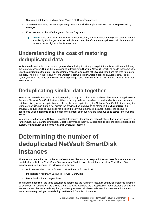- **•** Structured databases, such as Oracle® and SQL Server® databases.
- **•** Source servers using the same operating system and similar applications, such as those protected by vRanger.
- **•** Email servers, such as Exchange and Domino® systems.
	- **NOTE:** While email is an ideal target for deduplication, Single Instance Store (SIS), such as storage provided by Exchange, reduces deduplicated data; therefore, the deduplication ratio for the email server is not as high as other types of data.

### <span id="page-15-0"></span>**Understanding the cost of restoring deduplicated data**

While data deduplication reduces storage costs by reducing the storage footprint, there is a cost incurred during the restore processes. During the restoration of a deduplicated backup, NetVault SmartDisk has to reassemble the Chunks as it restores the data. This reassembly process, also called *rehydration*, lengthens the time to restore the data. Therefore, if the Recovery Time Objective (RTO) is important for a specific database, email, or file system, consider the trade-off between reducing storage costs and increasing RTO when you identify which data to deduplicate.

## <span id="page-15-1"></span>**Deduplicating similar data together**

You can increase deduplication ratios by targeting backups from the same database, file system, or application to the same NetVault SmartDisk Instance. When a backup is deduplicated and a previous backup from the same database, file system, or application has already been deduplicated by the NetVault SmartDisk Instance, only the unique or new Chunks that did not exist in the previous backup have to be stored in the **Chunk Store**. If a previously deduplicated backup does not exist in the NetVault SmartDisk Instance, most of the backup is considered unique data; this issue increases the number of unique Chunks that have to be stored in the **Chunk Store**.

When targeting backups to NetVault SmartDisk Instances, deduplication ratios decline if backups are targeted to random NetVault SmartDisk Instances. Quest recommends that you target backups from the same database, file system, or application to the same NetVault SmartDisk Instance.

## <span id="page-15-2"></span>**Determining the number of deduplicated NetVault SmartDisk Instances**

Three factors determine the number of NetVault SmartDisk Instances required. If any of these factors are true, you must deploy multiple NetVault SmartDisk Instances. To determine the total number of NetVault SmartDisk Instances required, perform the following calculations:

- **•** Unique Data Size > 15 TB for 64-bit OS and > 5 TB for 32-bit OS
- **•** Ingest Rate > Maximum Sustained Network Bandwidth
- **•** Deduplication Rate < Ingest Rate

The maximum result for the three calculations determines the number of NetVault SmartDisk Instances that must be deployed. For example, if the Unique Data Size calculation and the Deduplication Rate indicates that only one NetVault SmartDisk Instance is required, but the Ingest Rate calculation indicates that two NetVault SmartDisk Instances are required, you must deploy two NetVault SmartDisk Instances.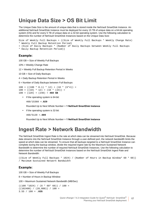### <span id="page-16-2"></span><span id="page-16-0"></span>**Unique Data Size > OS Bit Limit**

The Unique Data Size is the amount of unique data that is stored inside the NetVault SmartDisk Instance. An additional NetVault SmartDisk Instance must be deployed for every 15 TB of unique data on a 64-bit operating system (OS) and for every 5 TB of unique data on a 32-bit operating system. Use the following calculation to determine the number of NetVault SmartDisk Instances based on the Unique Data Size:

Size of Weekly Full Backups + ((Size of Weekly Full Backups \* Weekly Change Rate) \* Weekly Full Backup Retention Period)

```
+ (Size of Daily Backups * (Number of Daily Backups between Weekly Full Backups
```
\* Daily Backup Retention Period))

#### **Example:**

100 GB = Size of Weekly Full Backups

10% = Weekly Change Rate

12 = Weekly Full Backup Retention Period in Weeks

10 GB = Size of Daily Backups

4 = Daily Backup Retention Period in Weeks

6 = Number of Daily Backups between Full Backups

 $100 + ((100 * 0.1) * 12) + (10 * (6 * 4)) =$  $100 + ((10) * 12) + (10 * (24)) =$ 100 + (120) + (240) = **460 GB**

**•** If the operating system is 64-bit:

460/15360 =**.029**

Rounded Up to Next Whole Number = **1 NetVault SmartDisk Instance**

**•** If the operating system is 32-bit:

460/5120 =**.089**

Rounded Up to Next Whole Number = **1 NetVault SmartDisk Instance**

### <span id="page-16-1"></span>**Ingest Rate > Network Bandwidth**

The NetVault SmartDisk Ingest Rate is the rate at which data can be streamed into NetVault SmartDisk. Because data streams into the NetVault SmartDisk Instance through a user-defined port, the network bandwidth limits the speed at which data can be streamed. To ensure that all backups targeted to a NetVault SmartDisk Instance can complete during the backup window, divide the required ingest rate by the Maximum Sustained Network Bandwidth to determine the number of required NetVault SmartDisk Instances. Use the following calculation to determine the number of NetVault SmartDisk Instances based on the NetVault SmartDisk Ingest Rate and Network Bandwidth:

```
((Size of Weekly Full Backups * 1024) / (Number of Hours in Backup Window* 60 * 60))
/ Maximum Sustained Network Bandwidth
```
#### **Example:**

100 GB = Size of Weekly Full Backups

8 = Number of Hours in Backup Window

100 = Maximum Sustained Network Bandwidth (MB/Sec)

 $((100 *1024) / (8 * 60 * 60)) / 100 =$  $((102400) / (28,800)) / 100 =$ 3.55 / 100 = **.035**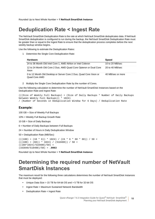<span id="page-17-2"></span>Rounded Up to Next Whole Number = **1 NetVault SmartDisk Instance**

### <span id="page-17-0"></span>**Deduplication Rate < Ingest Rate**

The NetVault SmartDisk Deduplication Rate is the rate at which NetVault SmartDisk deduplicates data. If NetVault SmartDisk deduplication is configured to run during the backup, the NetVault SmartDisk Deduplication Rate must be greater than or equal to the Ingest Rate to ensure that the deduplication process completes before the next weekly backup window begins.

Use the following to estimate the Deduplication Rates:

1 Determine the Single Core Deduplication Rate:

| <b>Hardware</b>                                                                    | <b>Speed</b>      |
|------------------------------------------------------------------------------------|-------------------|
| 24 to 36 Month Old Intel Core 1, AMD Athlon or Intel Celeron                       | 10 to 20 $MB/sec$ |
| 12 to 24 Month Old Core 2 Duo, AMD Quad Core Opteron or Dual Core<br>Xeon          | 20 to 40 MB/sec   |
| 0 to 12 Month Old Desktop or Server Core 2 Duo, Quad Core Xeon or<br>Quad Core AMD | 40 MB/sec or more |

2 Multiply the Single Core Deduplication Rate by the number of Cores.

Use the following calculation to determine the number of NetVault SmartDisk Instances based on the Deduplication Rate and Ingest Rate:

(((Size of Weekly Full Backups) + (Size of Daily Backups \* Number of Daily Backups between Weekly Full Backups)) \* 1024)

#### / (Number of Seconds in Deduplication Window for 6 Days) / Deduplication Rate

#### **Example:**

100 GB = Size of Weekly Full Backups

10% = Weekly Full Backup Growth Rate

10 GB = Size of Daily Backups

6 = Number of Daily Backups between Full Backups

24 = Number of Hours in Daily Deduplication Window

50 = Deduplication Rate (MB/Sec)

```
((100) + (10 * 6)) * 1024) / (24 * 6 * 60 * 60) / 50 =(((100) + (60)) * 1024) / (518400)) / 50 =((160*1024)/518400)/50) =(163840/518400)/50) = .0063
```
Rounded Up to Next Whole Number = **1 NetVault SmartDisk Instance**

### <span id="page-17-1"></span>**Determining the required number of NetVault SmartDisk Instances**

The maximum result for the following three calculations determines the number of NetVault SmartDisk Instances that must be deployed:

- **•** Unique Data Size > 15 TB for 64-bit OS and > 5 TB for 32-bit OS
- **•** Ingest Rate > Maximum Sustained Network Bandwidth
- **•** Deduplication Rate < Ingest Rate

**18**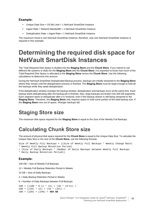#### **Example:**

- **•** Unique Data Size > OS Bit Limit = 1 NetVault SmartDisk Instance
- **•** Ingest Rate > Network Bandwidth = 1 NetVault SmartDisk Instance
- **•** Deduplication Rate < Ingest Rate = 1 NetVault SmartDisk Instance

The maximum result is one NetVault SmartDisk Instance; therefore, only one NetVault SmartDisk Instance is required in this example.

## <span id="page-18-3"></span><span id="page-18-0"></span>**Determining the required disk space for NetVault SmartDisk Instances**

The Total Required Disk Space is divided into the **Staging Store** and the **Chunk Store**. If you intend to use different file systems or disks for the **Staging Store** and the **Chunk Store**, it is important to know how much of the Total Required Disk Space is allocated to the **Staging Store** versus the **Chunk Store**. Use the following calculations to determine this amount.

During the NetVault SmartDisk Deduplicated Backup process, backups are initially streamed to the **Staging Store** where they remain until the deduplication process is finished. The **Staging Store** must be large enough to hold all the backups while they await deduplication.

If the deduplication window overlaps the backup window, deduplication and backups occur at the same time. Each backup starts deduplicating after the backup job is finished. Also, large backups are broken into 400 GB segments. Each segment starts to deduplicate after it is received, even if the backup stream is still being streamed to the **Staging Store**. Therefore, the **Staging Store** only requires space to hold some portion of the total backup size. If the **Staging Store** runs out of space, vRanger backups fail.

## <span id="page-18-1"></span>**Staging Store size**

The maximum disk space required for the **Staging Store** is equal to the Size of the Weekly Full Backups.

### <span id="page-18-2"></span>**Calculating Chunk Store size**

The amount of physical disk space required for the **Chunk Store** is equal to the Unique Data Size. To calculate the Unique Data Size or the size of the **Chunk Store**, use the following formula:

Size of Weekly Full Backups + ((Size of Weekly Full Backups \* Weekly Change Rate)

```
* Weekly Full Backup Retention Period)
```
+ (Size of Daily Backups \* (Number of Daily Backups between Weekly Full Backups

```
* Daily Backup Retention Period))
```
#### **Example:**

100 GB = Size of Weekly Full Backups

12 = Weekly Full Backup Retention Period in Weeks

10 GB = Size of Daily Backups

4 = Daily Backup Retention Period in Weeks

6 = Number of Daily Backups between Full Backups

```
100 + ((100 * 0.1) * 12) + (10 * (6 * 4)) =100 + ((10) * 12) + (10 * (24)) =100 + (120) + (240) = 460 GB
```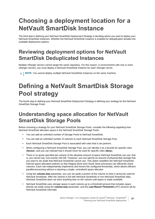## <span id="page-19-0"></span>**Choosing a deployment location for a NetVault SmartDisk Instance**

The third step in defining your NetVault SmartDisk Deployment Strategy is deciding where you want to deploy your NetVault SmartDisk Instances. Whether the NetVault SmartDisk Instance is enabled for deduplication dictates the available deployment options.

## <span id="page-19-1"></span>**Reviewing deployment options for NetVault SmartDisk Deduplicated Instances**

Multiple vRanger servers cannot target the same repository. For this reason, in environments with one or more vRanger servers, you must deploy a NetVault SmartDisk Instance for each vRanger server.

**i** | NOTE: You *cannot* deploy multiple NetVault SmartDisk Instances on the same machine.

## <span id="page-19-4"></span><span id="page-19-2"></span>**Defining a NetVault SmartDisk Storage Pool strategy**

The fourth step in defining your NetVault SmartDisk Deployment Strategy is defining your strategy for the NetVault SmartDisk Storage Pools.

## <span id="page-19-3"></span>**Understanding space allocation for NetVault SmartDisk Storage Pools**

Before choosing a strategy for your NetVault SmartDisk Storage Pools, consider the following regarding how NetVault SmartDisk allocates space in the NetVault SmartDisk Storage Pools:

- **•** You can add an unlimited number of Storage Pools to NetVault SmartDisk.
- **•** You can add an unlimited number of volumes to each NetVault SmartDisk Storage Pool.
- **•** Each NetVault SmartDisk Storage Pool is associated with roles that it can perform.
- **•** When configuring a NetVault SmartDisk Storage Pool, you can identify it as a favorite for specific roles (**favour**), and you can indicate that it should never be used for specific roles (**deny**).
- **•** There is no quota specified per-volume of the absolute amount of space NetVault SmartDisk can use; that is, you cannot say "use exactly 100 GB." However, you can specify an amount of physical disk-storage that you want to set aside that NetVault SmartDisk cannot use. This option simplifies the NetVault SmartDisk internal space-allocation policies so that Staging Store and Chunk Store processes can efficiently share volumes. Each role independently implements and honors the configured thresholds, which allows efficient parallel-processing without a requiring a single, centralized space allocator.
- **•** Using the **volume-size** parameter, you can set aside a portion of the volume so that it cannot be used for NetVault SmartDisk. After the volume is full with NetVault SmartDisk or non-NetVault SmartDisk data, NetVault SmartDisk does not store anything else on the volume until space is made available.
- **•** NetVault SmartDisk uses storage space in each volume up to a threshold amount that includes space directly set aside using the **volume-size** parameter, and the **Last Resort Threshold** (LRT) amount set by NetVault SmartDisk internally.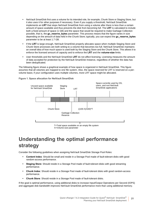- **•** NetVault SmartDisk first uses a volume for its intended role, for example, Chunk Store or Staging Store, but it also uses it for other purposes if necessary. Even if you supply a threshold, NetVault SmartDisk implements an **LRT** that stops NetVault SmartDisk from using a volume after there is less than a certain amount of space available and thus prevents the disk from becoming full. The **LRT** is calculated to include both a fixed amount of space (1 GB) and the space that would be required to make Garbage Collection possible, that is, the **gc\_reserve\_bytes** parameter. This process means that the figure varies in size depending on the amount of data held in the Chunk Store; typically, you can expect the **gc\_reserve\_bytes** parameter to be at least 1.7 GB.
- **•** If the **LRT** is large enough, NetVault SmartDisk properly allocates space when multiple Staging Store and Chunk Store processes are both writing to a volume that becomes too full. NetVault SmartDisk maintains an overall idea of how much space is used both by the Staging Store and the Chunk Store. This allows it to enforce the licensed amount of capacity and to enforce the **LRT** and the **volume-size** limits.
- **•** User thresholds and the NetVault SmartDisk **LRT** do not affect licensing. Licensing measures the amount of data accepted for protection by the NetVault SmartDisk Instance, regardless of whether the data has been deduplicated.

The following figure shows a graphical example of how space is organized in NetVault SmartDisk. This figure assumes that all volumes are mapped to one file system. Also, the space reserved for LRT is reserved on a pervolume basis; if your configuration uses multiple volumes, more LRT space might be allocated.



**Figure 1. Space allocation for NetVault SmartDisk**

X=Volume-size parameter

## <span id="page-20-0"></span>**Understanding the optimal performance strategy**

Consider the following guidelines when assigning NetVault SmartDisk Storage Pool Roles:

- **Content Index**: Should be small and reside in a Storage Pool made of fault-tolerant disks with good random-access performance.
- **Staging Store**: Should reside in a Storage Pool made of fault-tolerant disks with good streaming performance.
- **Chunk Index**: Should reside in a Storage Pool made of fault-tolerant disks with good random-access performance.
- **Chunk Store**: Should reside in a Storage Pool made of fault-tolerant disks.

If the goal is optimal performance, using additional disks to increase Input/Output Operations per Second (IOPS) and aggregate disk bandwidth improves NetVault SmartDisk performance more than using additional memory.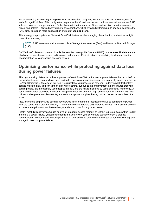For example, if you are using a single RAID array, consider configuring four separate RAID 1 volumes, one for each Storage Pool Role. This configuration separates the IO workload for each volume across independent RAID volumes. You can tune performance further by restricting the number of independent disk operations — reads, writes, and deletes — allowed per volume to two operations, which avoids disk thrashing. In addition, configure the RAID array to support more bandwidth in and out of **Staging Store**.

This strategy is appropriate for NetVault SmartDisk Instances where staging, deduplication, and restores might occur simultaneously.

**NOTE:** RAID recommendations also apply to Storage Area Network (SAN) and Network Attached Storage ÷ (NAS).

On Windows® platforms, you can disable the New Technology File System (NTFS) **Last Access Update** feature, which can reduce disk accesses and increase performance. For instructions on disabling this feature, see the documentation for your specific operating system.

### **Optimizing performance while protecting against data loss during power failures**

Although enabling disk-write caches improves NetVault SmartDisk performance, power failures that occur before modified disk-cache contents have been written to non-volatile magnetic storage can potentially cause data loss in NetVault SmartDisk. Because of this risk, it is critical that you understand how your underlying disk technology caches writes to disk. You can turn off disk-write caching, but due to the improvement in performance that writecaching offers, it is increasingly used despite the risk, and the risk is mitigated by using additional technology. A common mitigation technique is ensuring that power does not go off. In high-end server environments, with their uninterruptible power supplies (UPSs) and redundant power supplies, having unfilled cached writes is less of an issue.

Also, drives that employ write-caching have a write-flush feature that instructs the drive to send pending writes from the cache to the disk immediately. This command is sent before UPS batteries run out—if the system detects a power interruption — or just before the system is shut down for any other reason.

Finally, most disk array systems use non-volatile random access memory (NVRAM) to protect data written to disk if there is a power failure. Quest recommends that you review your server and storage vendor's product documentation to understand what steps are taken to ensure that disk writes are written to non-volatile magnetic storage if there is a power failure.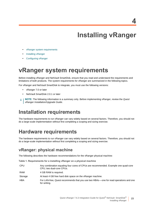- <span id="page-22-0"></span>**•** [vRanger system requirements](#page-22-1)
- **•** [Installing vRanger](#page-24-0)
- **•** [Configuring vRanger](#page-24-1)

## <span id="page-22-4"></span><span id="page-22-1"></span>**vRanger system requirements**

Before installing vRanger and NetVault SmartDisk, ensure that you read and understand the requirements and limitations of both products. The system requirements for vRanger are summarized in the following topics.

For vRanger and NetVault SmartDisk to integrate, you must use the following versions:

- **•** vRanger 7.0 or later
- **•** NetVault SmartDisk 2.0.1 or later
- **NOTE:** The following information is a summary only. Before implementing vRanger, review the *Quest*  i *vRanger Installation/Upgrade Guide*.

### <span id="page-22-2"></span>**Installation requirements**

The hardware requirements to run vRanger can vary widely based on several factors. Therefore, you should not do a large-scale implementation without first completing a scoping and sizing exercise.

### <span id="page-22-3"></span>**Hardware requirements**

The hardware requirements to run vRanger can vary widely based on several factors. Therefore, you should not do a large-scale implementation without first completing a scoping and sizing exercise.

### **vRanger: physical machine**

The following describes the hardware recommendations for the vRanger physical machine:

**Table 1. Requirements for a installing vRanger on a physical machine**

| <b>CPU</b> | Any combination equaling four cores of CPUs are recommended. Example one quad-core<br>CPU; two dual-core CPUs. |
|------------|----------------------------------------------------------------------------------------------------------------|
| RAM        | 4 GB RAM is required.                                                                                          |
| Storage    | At least 4 GB free hard disk space on the vRanger machine.                                                     |
| <b>HBA</b> | For LAN-free, Quest recommends that you use two HBAs—one for read operations and one<br>for writing.           |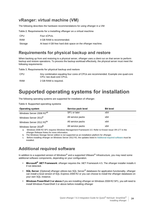### **vRanger: virtual machine (VM)**

The following describes the hardware recommendations for using vRanger in a VM:

**Table 2. Requirements for a installing vRanger on a virtual machine**

| CPU     | Four vCPUs.                                                |
|---------|------------------------------------------------------------|
| RAM     | 4 GB RAM is recommended.                                   |
| Storage | At least 4 GB free hard disk space on the vRanger machine. |

### **Requirements for physical backup and restore**

When backing up from and restoring to a physical server, vRanger uses a client run on that server to perform backup and restore operations. To process the backup workload effectively, the physical server must meet the following requirements:

**Table 3. Requirements for physical backup and restore**

| <b>CPU</b> | Any combination equaling four cores of CPUs are recommended. Example one quad-core |
|------------|------------------------------------------------------------------------------------|
|            | CPU; two dual-core CPUs.                                                           |
|            |                                                                                    |

RAM 2 GB RAM is required.

### <span id="page-23-0"></span>**Supported operating systems for installation**

The following operating systems are supported for installation of vRanger.

**Table 4. Supported operating systems**

| <b>Operating system</b>              | Service pack level | <b>Bit level</b> |
|--------------------------------------|--------------------|------------------|
| Windows Server 2008 R2 <sup>ab</sup> | SP1 or later       | x64              |
| Windows Server 2012 <sup>b</sup>     | All service packs  | x64              |
| Windows Server 2012 R2 <sup>bc</sup> | All service packs  | x64              |
| Windows Server 2016 <sup>b</sup>     | All service packs  | x64              |

a. Windows 2008 R2 SP1 requires Windows Management Framework 3.0. Refer to Known Issue VR-177 in the vRanger Release Notes for more information.

b. The Windows Storage Server edition is not supported as an installation platform for vRanger.

c. Before installing vRanger on Windows Server 2012 R2, the updates listed in Additional required software must be installed.

### **Additional required software**

In addition to a supported version of Windows® and a supported VMware<sup>®</sup> Infrastructure, you may need some additional software components, depending on your configuration.

- **Microsoft® .NET Framework**: vRanger requires the .NET Framework 4.5. The vRanger installer installs it if not detected.
- **SQL Server:** [Optional] vRanger utilizes two SQL Server<sup>®</sup> databases for application functionality. vRanger can install a local version of SQL Express 2008 R2 or you can choose to install the vRanger databases on your own SQL instance.
- **Windows PowerShell 3 or above.**If you are installing vRanger on Windows 2008 R2 SP1, you will need to install WIndows PowerShell 3 or above before installing vRanger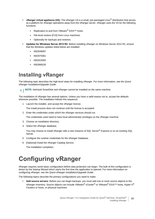- **vRanger virtual appliance (VA)**: The vRanger VA is a small, pre-packaged Linux® distribution that serves as a platform for vRanger operations away from the vRanger server. vRanger uses the VA for the following functions:
	- **▪** Replication to and from VMware® ESXi™ hosts.
	- File-level restore (FLR) from Linux machines.
	- **▪** Optionally for backups and restores.
- **Updates for Windows Server 2012 R2**: Before installing vRanger on Windows Server 2012 R2, ensure that the Windows updates listed below are installed:
	- **▪** KB2939087
	- **▪** KB2975061
	- **▪** KB2919355
	- **▪** KB2999226

### <span id="page-24-2"></span><span id="page-24-0"></span>**Installing vRanger**

The following topic describes the high-level steps for installing vRanger. For more information, see the *Quest vRanger Installation/Upgrade Guide*.

**NOTE:** NetVault SmartDisk and vRanger cannot be installed on the same machine.i l

The installation of vRanger has several options. Unless you have a valid reason not to, accept the defaults wherever possible. The installation follows this sequence:

1 Launch the installer, and accept the vRanger license.

The install process does not continue until the license is accepted.

2 Enter the credentials under which the vRanger services should run.

The credentials used need to have local administrator privileges on the vRanger machine.

- 3 Choose an installation directory.
- 4 Select the vRanger database.

You may choose to install vRanger with a new instance of SQL Server<sup>®</sup> Express or on an existing SQL Server.

- 5 Configure the runtime credentials for the vRanger Database.
- 6 [Optional] Install the vRanger Catalog Service.

The installation completes.

## <span id="page-24-1"></span>**Configuring vRanger**

vRanger requires some basic configuration before data protection can begin. The bulk of this configuration is driven by the Startup Wizard which starts the first time the application is opened. For more information on configuring vRanger, see the *Quest vRanger Installation/Upgrade Guide*.

The following topics describe the primary configurations you need to make.

**• Add source servers:** Before you can begin backups, you must add one or more source objects to the vRanger inventory. Source objects can include VMware® vCenter® or VMware® ESXi™ hosts, Hyper-V® Clusters or hosts, or physical machines.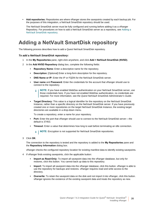**• Add repositories:** Repositories are where vRanger stores the savepoints created by each backup job. For the purposes of this integration, a NetVault SmartDisk repository should be used.

The NetVault SmartDisk server must be fully configured and running before adding it as a vRanger Repository. For procedures on how to add a NetVault SmartDisk server as a repository, see [Adding a](#page-25-0)  [NetVault SmartDisk repository](#page-25-0).

### <span id="page-25-1"></span><span id="page-25-0"></span>**Adding a NetVault SmartDisk repository**

The following process describes how to add a Quest NetVault SmartDisk repository.

#### *To add a NetVault SmartDisk repository:*

- 1 In the **My Repositories** pane, right-click anywhere, and click **Add > NetVault SmartDisk (NVSD)**.
- 2 In the **Add NVSD Repository** dialog box, complete the following fields:
	- **▪ Repository Name:** Enter a descriptive name for the repository.
	- **Description:** [Optional] Enter a long-form description for the repository.
	- **DNS Name or IP:** Enter the IP or FQDN for the NetVault SmartDisk server.
	- **User name** and **Password:** Enter the credentials for the account that vRanger should use to connect to the repository.
		- **NOTE:** If you have enabled WebDav authentication on your NetVault SmartDisk server, use ÷ those credentials here. If you have not enabled WebDav authentication, no credentials are required. For more information, see the *Quest NetVault SmartDisk Administrator's Guide*.
	- **Target Directory:** This value is a logical identifier for the repository on the NetVault SmartDisk Instance, rather than a specific directory on the NetVault SmartDisk server. If you have previously created one or more repositories on the target NetVault SmartDisk Instance, the existing target directories are available in a drop-down menu.

To create a repository, enter a name for your repository.

- **Port:** Enter the port that vRanger should use to connect to the NetVault SmartDisk server—the default is 37453.
- **Timeout:** Enter a value that determines how long to wait before terminating an idle connection.
	- **i** | NOTE: Encryption is not supported for NetVault SmartDisk repositories.
- 3 Click **OK**.

The connection to the repository is tested and the repository is added to the **My Repositories** pane and the **Repository Information** dialog box.

vRanger checks the configured repository location for existing manifest data to identify existing savepoints.

- 4 If vRanger finds existing savepoints, click the applicable button:
	- **Import as Read-Only:** To import all savepoint data into the vRanger database, but only for restores, click this button. You cannot back up data to this repository.
	- **Import:** To import all savepoint data into the vRanger database, click this button. vRanger is able to use the repository for backups and restores. vRanger requires read and write access to the directory.
	- **▪ Overwrite:** To retain the savepoint data on the disk and not import it into vRanger, click this button. vRanger ignores the existence of the existing savepoint data and treats the repository as new.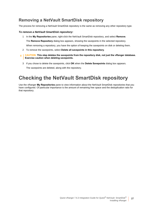### **Removing a NetVault SmartDisk repository**

The process for removing a NetVault SmartDisk repository is the same as removing any other repository type.

#### *To remove a NetVault SmartDisk repository:*

- 1 In the **My Repositories** pane, right-click the NetVault SmartDisk repository, and select **Remove**. The **Remove Repository** dialog box appears, showing the savepoints in the selected repository. When removing a repository, you have the option of keeping the savepoints on disk or deleting them.
- 2 To remove the savepoints, select **Delete all savepoints in this repository**.
- **CAUTION: This step deletes the savepoints from the repository disk, not just the vRanger database.**  Ţ **Exercise caution when deleting savepoints.**
	- 3 If you chose to delete the savepoints, click **OK** when the **Delete Savepoints** dialog box appears. The savepoints are deleted, along with the repository.

## <span id="page-26-0"></span>**Checking the NetVault SmartDisk repository**

Use the vRanger **My Repositories** pane to view information about the NetVault SmartDisk repositories that you have configured. Of particular importance is the amount of remaining free space and the deduplication ratio for that repository.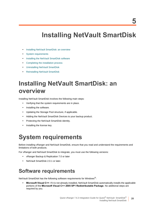## **Installing NetVault SmartDisk**

- <span id="page-27-0"></span>**•** [Installing NetVault SmartDisk: an overview](#page-27-1)
- **•** [System requirements](#page-27-2)
- **•** [Installing the NetVault SmartDisk software](#page-29-0)
- **•** [Completing the installation process](#page-31-0)
- **•** [Uninstalling NetVault SmartDisk](#page-32-2)
- **•** [Reinstalling NetVault SmartDisk](#page-33-2)

## <span id="page-27-1"></span>**Installing NetVault SmartDisk: an overview**

Installing NetVault SmartDisk involves the following main steps:

- **•** Verifying that the system requirements are in place.
- **•** Installing the software.
- **•** Updating the Storage Pool structure, if applicable.
- **•** Adding the NetVault SmartDisk Devices to your backup product.
- **•** Protecting the NetVault SmartDisk identity.
- **•** Installing the license key.

## <span id="page-27-4"></span><span id="page-27-2"></span>**System requirements**

Before installing vRanger and NetVault SmartDisk, ensure that you read and understand the requirements and limitations of both products.

For vRanger and NetVault SmartDisk to integrate, you must use the following versions:

- **•** vRanger Backup & Replication 7.0 or later
- **•** NetVault SmartDisk 2.0.1 or later.

### <span id="page-27-3"></span>**Software requirements**

NetVault SmartDisk has the following software requirements for Windows®:

**• Microsoft Visual C++**: If it is not already installed, NetVault SmartDisk automatically installs the applicable portions of the **Microsoft Visual C++ 2005 SP1 Redistributable Package**. No additional steps are required by you.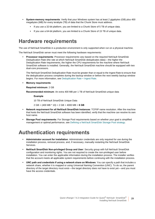- **System-memory requirements**: Verify that your Windows system has at least 2 gigabytes (GB) plus 400 megabytes (MB) for every terabyte (TB) of data that the Chunk Store must address.
	- **▪** If you use a 32-bit platform, you are limited to a Chunk Store of 5 TB of unique data.
	- **▪** If you use a 64-bit platform, you are limited to a Chunk Store of 15 TB of unique data.

### <span id="page-28-0"></span>**Hardware requirements**

The use of NetVault SmartDisk in a production environment is only supported when run on a physical machine.

The NetVault SmartDisk server must meet the following hardware requirements:

**• Processor requirements**: Processor requirements vary based on the required NetVault SmartDisk Deduplication Rate (the rate at which NetVault SmartDisk deduplicates data) — the higher the Deduplication Rate requirements, the higher the CPU requirements for the machine where NetVault SmartDisk software is installed. Generally, the NetVault SmartDisk machine should be equipped with two dual-core processors.

The NetVault SmartDisk Deduplication Rate must be greater than or equal to the Ingest Rate to ensure that the deduplication process completes during the backup window or before the next weekly backup window begins. For more information, see [Deduplication Rate < Ingest Rate.](#page-17-2)

**• Memory requirements**:

**Required minimum**: 2 GB

**Recommended minimum**: An extra 400 MB per 1 TB of NetVault SmartDisk-unique data

**Example**

10 TB of NetVault SmartDisk Unique Data

2 GB + (400 MB \* 10) = 2 GB + 4000 MB = **6 GB**

- **Network requirement for all NetVault SmartDisk Instances**: TCP/IP name resolution. After the machine that hosts the NetVault SmartDisk software has been identified, verify that the machine can resolve its own host name.
- **Storage Pool requirements:** For Storage Pool requirements based on whether your goal is simplified management or optimal performance, see [Defining a NetVault SmartDisk Storage Pool strategy](#page-19-4).

### <span id="page-28-2"></span><span id="page-28-1"></span>**Authentication requirements**

- **Administrator account for installation**: Administrator credentials are only required for use during the installation process, removal process, and, if necessary, manually restarting the NetVault SmartDisk Services.
- **NetVault SmartDisk Non-privileged Group and User**: Security group with full NetVault SmartDisk configuration and monitoring rights. You are not required to create the non-privileged user before installation. You can enter the applicable information during the installation process. The installer verifies that the account meets all applicable system requirements before continuing with the installation process.
- **UNC path and credentials if using a network share on Windows**: You can specify a path that includes a network share, whether it is mapped or using Universal Naming Convention (UNC). To do so, the parent directory of the target directory must exist—the target directory does not have to exist yet—and you must have the access credentials.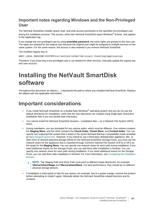### **Important notes regarding Windows and the Non-Privileged User**

The NetVault SmartDisk installer grants read- and write-access permission to the specified non-privileged user during the installation process. This access, which lets NetVault SmartDisk report Windows® Events, *only* applies to the Application log.

If you change the non-privileged user by using **smartdisk password**, the same rights are granted to the new user. The rights are retained for the original user because the original user might be assigned to multiple services on the same system. For the same reason, this access is also retained if you remove NetVault SmartDisk.

The modified registry key is:

HKEY\_LOCAL\_MACHINE\SYSTEM\CurrentControlSet\Services\ Eventlog\Application

Therefore, if you know that a non-privileged user is not needed for other services, manually update the registry key and user account.

## <span id="page-29-0"></span>**Installing the NetVault SmartDisk software**

Throughout this document, an ellipsis (…) represents the path to where you installed NetVault SmartDisk. Replace the ellipsis with the applicable information.

### <span id="page-29-1"></span>**Important considerations**

- **•** If you install NetVault SmartDisk on a double-byte Windows® operating system and you do not use the default directories for installation, verify that the new directories are created using single-byte characters; installation fails if you use double-byte characters.
- **•** You cannot install the NetVault SmartDisk binaries installation files on a Network File System (NFS) share.
- **•** During installation, you are prompted for two volume paths, which must be different. One volume contains the **Staging Store**, and the other contains the **Chunk Index**, **Chunk Store**, and **Content Index**. You can specify any supported file system that is listed in the *Quest NetVault Backup Compatibility Guide* available at [https://support.quest.com.](https://support.squest.com) However, if you intend to use a third-party deduplication appliance, filer, or other form of network-attached storage (NAS) for the NetVault SmartDisk Storage Pools, you must use the network share for the appliance that is exported through Common Internet File System (CIFS) or NFS as the target for the **Staging Store**. You can specify one network share for each path during installation; if you need additional shares for the Storage Pools, you can add them after installation is finished. You can specify one network share for each path during installation; if you need additional shares for the Storage Pools, you can add them after installation is finished. For more information, see [Completing the installation](#page-31-0)  [process](#page-31-0).
	- **NOTE:** The Staging Path and Store Path must point to different target directories, for example, ÷ **\\Server\share\Stage** and **\\Server\share\Store**. For best performance, they should be on different physical storage devices.
- **•** If installation is interrupted or fails for any reason, for example, due to a power outage, remove the product before attempting to install it again. Manually delete the NetVault SmartDisk-related directory and its contents.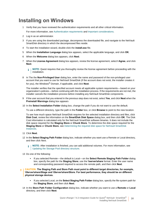### <span id="page-30-0"></span>**Installing on Windows**

1 Verify that you have reviewed the authentication requirements and all other critical information.

For more information, see [Authentication requirements](#page-28-1) and [Important considerations](#page-29-1).

- 2 Log in as an administrator.
- 3 If you are using the downloaded package, decompress the downloaded file, and navigate to the NetVault SmartDisk directory in which the decompressed files reside.
- 4 To start the installation wizard, double-click the **install.exe** file.
- 5 When the **Installation Language** dialog box appears, select the applicable language, and click **OK**.
- 6 When the **Welcome** dialog box appears, click **Next**.
- 7 When the **License Agreement** dialog box appears, review the license agreement, select **I Agree**, and click **Next**.

**NOTE:** Quest requires that you thoroughly review the license agreement before proceeding with the i. installation.

8 In The the **Non-Privileged User** dialog box, enter the name and password of the non-privileged user account that you want to use for NetVault SmartDisk (if the account does not exist, the installer creates it for you), the Windows® Domain, if applicable, and click **Next**.

The installer verifies that the specified account meets all applicable system requirements — based on your organization's policies — before continuing with the installation process. If the requirements are not met, the installer cancels the installation process before installing any NetVault SmartDisk components.

- 9 If the user account that you entered in the previous step does not exist, select **Yes**, and click **Next** when the **Preinstall Warnings** dialog box appears
- 10 In the **Select Installation Folder** dialog box, change the path if you do not want to use the default.

To use a different directory, type the path in the **Folder** box, or click **Browse** to point to the new location.

To see how much space NetVault SmartDisk requires for the selected installation directory and files, click **Disk Cost**, review the information on the **SmartDisk Disk Space** dialog box, and then click **OK**. The Disk Cost information is calculated only for the NetVault SmartDisk software binaries. It does not include the disk space required for the **Staging Store** or **Chunk Store**. To determine the disk space required for the **Staging Store** or **Chunk Store**, see [Determining the required disk space for NetVault SmartDisk](#page-18-3)  [Instances](#page-18-3).

- 11 Click **Next**.
- 12 In the **Select Staging Path Folder** dialog box, indicate whether you want use a Remote or Local directory, and then click Next.

**NOTE:** After installation is finished, you can add additional volumes. For more information, see î. [Updating the Storage Pool directory structure.](#page-32-0)

- 13 Do one of the following:
	- **▪** If you selected Remote the default is Local on the **Select Remote Staging Path Folder** dialog box, specify the path for the **Staging Store**; use the **\\server\share** format. Enter the user name and corresponding password required to access the remote path, and then click **Next**.
- **CAUTION: The Staging Path and Store Path must point to different target directories, for example, \\Server\share\Stage and \\Server\share\Store. For best performance, they should be on different physical storage devices.**
	- **▪** If you selected Local, on the **Select Staging Path Folder** dialog box, specify the file-system path for the **Staging Store**, and then click **Next**.
	- 14 In the **Store Path Folder Configuration** dialog box, indicate whether you want to use a **Remote** or **Local** directory, and then click **Next**.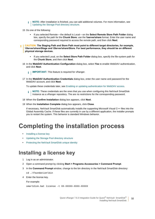- **NOTE:** After installation is finished, you can add additional volumes. For more information, see ÷. [Updating the Storage Pool directory structure.](#page-32-0)
- 15 Do one of the following:
	- **▪** If you selected Remote the default is Local on the **Select Remote Store Path Folder** dialog box, specify the path for the **Chunk Store**; use the **\\server\share** format. Enter the user name and corresponding password required to access the remote path, and then click **Next**.
- **CAUTION: The Staging Path and Store Path must point to different target directories, for example, \\Server\share\Stage and \\Server\share\Store. For best performance, they should be on different physical storage devices.**
	- **▪** If you selected Local, on the **Select Store Path Folder** dialog box, specify the file-system path for the **Chunk Store**, and then click **Next**.
	- 16 In the **WebDAV Authentication Configuration** dialog box, select **Yes** to enable WebDAV authentication, and click **Next**.
		- **IMPORTANT:** This feature is required for vRanger. i l
	- 17 In the **WebDAV Authentication Credentials** dialog box, enter the user name and password for the WebDAV account, and click **Next**.

To update these credentials later, see [Enabling or updating authentication for WebDAV access](#page-37-1).

**NOTE:** These credentials are the ones that you use when configuring this NetVault SmartDisk Instance as a vRanger repository. The are no restrictions for the corresponding password.

- 18 When the **Confirm Installation** dialog box appears, click **Next**.
- 19 When the **Installation Complete** dialog box appears, click **Close**.

If necessary, NetVault SmartDisk automatically installs the supporting Microsoft Visual C++ files into the Global Assembly Cache. If these files are currently in use by a different application, the installer prompts you to restart the system. This behavior is standard Windows behavior.

## <span id="page-31-0"></span>**Completing the installation process**

- **•** [Installing a license key](#page-31-1)
- **•** [Updating the Storage Pool directory structure](#page-32-0)
- **•** [Protecting the NetVault SmartDisk unique identity](#page-32-1)

### <span id="page-31-2"></span><span id="page-31-1"></span>**Installing a license key**

- 1 Log in as an administrator.
- 2 Open a command prompt by clicking **Start > Programs Accessories > Command Prompt**.
- 3 In the **Command Prompt** window, change to the bin directory in the NetVault SmartDisk directory: cd …\foundation\bin
- 4 Enter the license key.

For example:

```
smartdisk.bat license -t XX-XXXXX-XXXX-XXXXX
```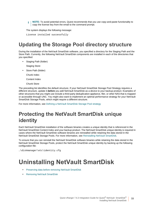**NOTE:** To avoid potential errors, Quest recommends that you use copy-and-paste functionality to ÷. copy the license key from the email to the command prompt.

The system displays the following message:

License installed successfully

## <span id="page-32-0"></span>**Updating the Storage Pool directory structure**

During the installation of the NetVault SmartDisk software, you specified a directory for the Staging Path and the Store Path. Currently, the following NetVault SmartDisk components are installed in each of the directories that you specified:

**•** Staging Path (folder)

Staging Store

**•** Store Path (folder)

Chunk Index

Content Index

Chunk Store

The preceding list identifies the default structure. If your NetVault SmartDisk Storage Pool Strategy requires a different structure, update it *before* you add NetVault SmartDisk as a device to your backup product. Examples of other structures that you might use include a third-party deduplication appliance, filer, or other NAS that is mapped or accessible through UNC. You might also want to implement an optimal performance strategy for your NetVault SmartDisk Storage Pools, which might require a different structure.

For more information, see [Defining a NetVault SmartDisk Storage Pool strategy](#page-19-4)

## <span id="page-32-1"></span>**Protecting the NetVault SmartDisk unique identity**

Each NetVault SmartDisk installation of the software binaries creates a unique identity that is referenced in the NetVault SmartDisk Content Index and your backup product. The NetVault SmartDisk unique identity is required in cases where the NetVault SmartDisk software binaries are reinstalled while retaining the data stored in the NetVault SmartDisk Storage Pools. For more information, see [Reinstalling NetVault SmartDisk](#page-33-2).

To ensure that you can reinstall the NetVault SmartDisk software binaries while retaining the data stored in the NetVault SmartDisk Storage Pools, protect the NetVault SmartDisk unique identity by backing up the following configuration file:

…\diskmanager\etc\identity.cfg

## <span id="page-32-2"></span>**Uninstalling NetVault SmartDisk**

- **•** [Preserving data before removing NetVault SmartDisk](#page-33-0)
- **•** [Removing NetVault SmartDisk](#page-33-1)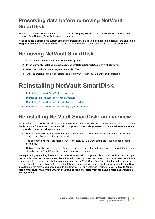## <span id="page-33-0"></span>**Preserving data before removing NetVault SmartDisk**

When you remove NetVault SmartDisk, the data in the **Staging Store** and the **Chunk Store** is retained after removal of the NetVault SmartDisk software binaries.

If you specified a different file-system path during installation, that is, you did not use the defaults, the data in the **Staging Store** and the **Chunk Store** is retained after removal of the NetVault SmartDisk software binaries.

## <span id="page-33-1"></span>**Removing NetVault SmartDisk**

- 1 Access **Control Panel > Add or Remove Programs**.
- 2 In the **Currently installed programs** list, select **NetVault SmartDisk**, and click **Remove**.
- 3 When the confirmation message appears, click **Yes**.
- 4 After the program is removed, delete the directory where NetVault SmartDisk was installed.

## <span id="page-33-2"></span>**Reinstalling NetVault SmartDisk**

- **•** [Reinstalling NetVault SmartDisk: an overview](#page-33-3)
- **•** [Prerequisites for reinstalling NetVault SmartDisk](#page-34-0)
- **•** [Reinstalling NetVault SmartDisk if identity.cfg is available](#page-34-1)
- **•** [Reinstalling NetVault SmartDisk if identity.cfg is not available](#page-35-0)

### <span id="page-33-3"></span>**Reinstalling NetVault SmartDisk: an overview**

In a standard NetVault SmartDisk installation, the NetVault SmartDisk software binaries are installed on a volume that is separate from the NetVault SmartDisk Storage Pools. Reinstalling the NetVault SmartDisk software binaries is required in one of the following scenarios:

- **•** NetVault SmartDisk is inoperable because a media failure occurred on the volume where the NetVault SmartDisk software binaries are installed.
- **•** The operating system of the machine where the NetVault SmartDisk Instance is running has become corrupted.
- **•** NetVault SmartDisk was removed. During the uninstall, the software binaries were removed, but the data stored in the NetVault SmartDisk Storage Pools was left intact.

In the preceding scenarios, the data in the NetVault SmartDisk Storage Pools is still intact and can be used by a new installation of the NetVault SmartDisk software binaries. Each NetVault SmartDisk installation of the software binaries creates a unique identity that is referenced in the NetVault SmartDisk Content Index and your backup product; therefore, it is critical that you use the following procedures to ensure that the *new* NetVault SmartDisk installation of the software binaries points to the *original* NetVault SmartDisk Storage Pools. *Failure to follow these steps renders NetVault SmartDisk unable to read or restore from the original NetVault SmartDisk Storage Pools.*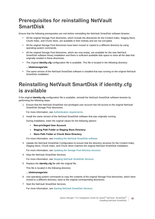## <span id="page-34-0"></span>**Prerequisites for reinstalling NetVault SmartDisk**

Ensure that the following prerequisites are met before reinstalling the NetVault SmartDisk software binaries.

- **•** All the original Storage Pool directories, which include the directories for the Content Index, Staging Store, Chunk Index, and Chunk Store, are available in their entirety and are not corrupted.
- **•** All the original Storage Pool directories have been moved or copied to a different directory by using operating-system commands.
- **•** All the original Storage Pool directories, which are now empty, are available for the new NetVault SmartDisk software binary installation and there is sufficient available disk space to store all the data that originally resided in these directories.
- **•** The original **identity.cfg** configuration file is available. This file is located in the following directory:

#### **…\diskmanager\etc**

**•** The same version of the NetVault SmartDisk software is installed that was running on the original NetVault SmartDisk installation.

## <span id="page-34-1"></span>**Reinstalling NetVault SmartDisk if identity.cfg is available**

If the original **identity.cfg** configuration file is available, reinstall the NetVault SmartDisk software binaries by performing the following steps:

1 Ensure that the NetVault SmartDisk non-privileged user account has full access to the original NetVault SmartDisk Storage Pool directories.

For more information, see [Authentication requirements](#page-28-1).

2 Install the same version of the NetVault SmartDisk software that was originally running.

During installation, enter the *original* values for the following options:

- **▪ Non-privileged User Account**
- **▪ Staging Path Folder or Staging Store Directory**
- **▪ Store Path Folder or Chunk Store Directory**

For more information, see [Installing the NetVault SmartDisk software.](#page-29-0)

Update the NetVault SmartDisk Configuration to ensure that the directory structure for the Content Index, Staging Store, Chunk Index, and Chunk Store matches the original NetVault SmartDisk installation.

For more information, see [Updating the Storage Pool directory structure.](#page-32-0)

4 Stop the NetVault SmartDisk Services.

For more information, see [Stopping NetVault SmartDisk Services](#page-40-4).

5 Replace the **identity.cfg** file with the original file.

This file is located in the following directory:

#### **…\diskmanager\etc**

- 6 Use operating-system commands to copy the contents of the original Storage Pool directories, which were moved to a different directory, back to the original corresponding directories.
- 7 Start the NetVault SmartDisk Services.

For more information, see [Starting NetVault SmartDisk Services.](#page-40-5)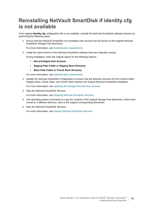## <span id="page-35-0"></span>**Reinstalling NetVault SmartDisk if identity.cfg is not available**

If the original **identity.cfg** configuration file is not available, reinstall the NetVault SmartDisk software binaries by performing the following steps:

1 Ensure that the NetVault SmartDisk non-privileged user account has full access to the original NetVault SmartDisk Storage Pool directories.

For more information, see [Authentication requirements](#page-28-1).

2 Install the same version of the NetVault SmartDisk software that was originally running.

During installation, enter the original values for the following options:

- **▪ Non-privileged User Account**
- **▪ Staging Path Folder or Staging Store Directory**
- **▪ Store Path Folder or Chunk Store Directory**

For more information, see [Authentication requirements](#page-28-1).

3 Update the NetVault SmartDisk Configuration to ensure that the directory structure for the Content Index, Staging Store, Chunk Index, and Chunk Store matches the original NetVault SmartDisk installation.

For more information, see [Updating the Storage Pool directory structure.](#page-32-0)

4 Stop the NetVault SmartDisk Services.

For more information, see [Stopping NetVault SmartDisk Services](#page-40-4).

- 5 Use operating-system commands to copy the contents of the original Storage Pool directories, which were moved to a different directory, back to the original corresponding directories.
- 6 Start the NetVault SmartDisk Services.

For more information, see [Starting NetVault SmartDisk Services.](#page-40-5)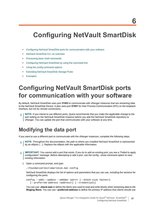## <span id="page-36-3"></span><span id="page-36-0"></span>**Configuring NetVault SmartDisk**

- **•** [Configuring NetVault SmartDisk ports for communication with your software](#page-36-1)
- **•** [NetVault SmartDisk CLI: an overview](#page-38-1)
- **•** [Processing basic shell commands](#page-39-1)
- **•** [Configuring NetVault SmartDisk by using the command line](#page-41-1)
- **•** [Using the config command options](#page-41-2)
- **•** [Extending NetVault SmartDisk Storage Pools](#page-43-0)
- **•** [Examples](#page-44-0)

## <span id="page-36-1"></span>**Configuring NetVault SmartDisk ports for communication with your software**

By default, NetVault SmartDisk uses port **37453** to communicate with vRanger instances that are streaming data to the NetVault SmartDisk Device. It also uses port **37451** for Inter Process Communication (IPC) on the loopback interface, but not for remote connections.

**NOTE:** If you intend to use different ports, Quest recommends that you make the applicable change to the port setting on the NetVault SmartDisk Instance before you add the NetVault SmartDisk repository to vRanger. You can update the port that communicates with your software at any time.

### <span id="page-36-2"></span>**Modifying the data port**

If you want to use a different port to communicate with the vRanger instances, complete the following steps.

- **NOTE:** Throughout this documentation, the path to where you installed NetVault SmartDisk is represented by an ellipsis (…). Replace the ellipsis with the applicable information.
- **I** IMPORTANT: You cannot add a port that exists. If you try to add an existing port, you see a "Failed to apply configuration" message. Before attempting to add a port, use the config --show command option to view existing information.
	- 1 Open a command prompt, and type:

…\foundation\bin\smartdisk.bat config

NetVault SmartDisk displays the list of options and parameters that you can use, including the sections for configuring the ports:

```
config --add|--update --webdav <port> [--block-size <bytes>] 
  [--preferred-address <address>] [--credentials]
```
You can use **--block-size** to define the block size used to read and write blocks when streaming data to the **Staging Store**. You can use **--preferred-address** to define the primary IP address that clients should use

**6**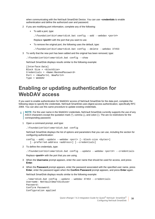when communicating with the NetVault SmartDisk Device. You can use **--credentials** to enable authentication and define the authorized user and password.

- 2 If you are modifying port information, complete any of the following:
	- **▪** To add a port, type:

…\foundation\bin\smartdisk.bat config --add --webdav *<port#>*

Replace *<port#>* with the port that you want to use.

- **▪** To remove the original port, the following uses the default, type:
	- …\foundation\bin\smartdisk.bat config --delete --webdav 37453
- 3 To verify that the new port has been added and the original has been removed, type:

…\foundation\bin\smartdisk.bat config --show

NetVault SmartDisk displays results similar to the following example:

```
[Interface:Data]
Block Size = <blockSize>
Credentials = <Name:MaskedPassword>
Port = <NewPort#, NewPort#>
Type = WebDAV
```
### <span id="page-37-1"></span><span id="page-37-0"></span>**Enabling or updating authentication for WebDAV access**

If you want to enable authentication for WebDAV access of NetVault SmartDisk for the data port, complete the following steps to specify the credentials. NetVault SmartDisk uses digest-access authentication, specifically RFC 2069. You can also use this same procedure to update existing credentials.

**NOTE:** For the user name in the WebDAV credentials, NetVault SmartDisk currently supports the use of any ASCII characters except the quotation mark ("), comma (,), and colon (:). The are no restrictions for the corresponding password.

1 Open a command prompt, and type:

…\foundation\bin\smartdisk.bat config

NetVault SmartDisk displays the list of options and parameters that you can use, including the section for configuring authentication:

```
config --add|--update --webdav <port> [--block-size <bytes>] 
  [--preferred-address <address>] [--credentials]
```
2 To define the credentials, type:

…\foundation\bin\smartdisk.bat config --update --webdav *<port#>* --credentials

Replace *<port#>* with the port that you are using.

- 3 When the **Username** prompt appears, enter the user name that should be used for access, and press **Enter**.
- 4 When the **Password** prompt appears, enter the password associated with the specified user name, press **Enter**, enter the password again when the **Confirm Password** prompt appears, and press **Enter** again.

NetVault SmartDisk displays results similar to the following example:

```
./smartdisk.bat config --update --webdav 37453 --credentials
Username: NetVaultSmartDiskuser
Password:
Confirm Password:
Configuration applied
```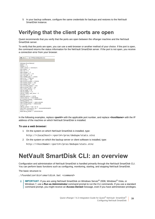5 In your backup software, configure the same credentials for backups and restores to the NetVault SmartDisk Instance.

### <span id="page-38-0"></span>**Verifying that the client ports are open**

Quest recommends that you verify that the ports are open between the vRanger machine and the NetVault SmartDisk server.

To verify that the ports are open, you can use a web browser or another method of your choice. If the port is open, the command returns the status information for the NetVault SmartDisk server. If the port is not open, you receive a connection error from your browser.



In the following examples, replace *<port#>* with the applicable port number, and replace *<hostName>* with the IP address of the machine on which NetVault SmartDisk is installed.

#### *To use a web browser:*

1 On the system on which NetVault SmartDisk is installed, type:

http://*<localhost>*:*<port#>*/proc/dedupe/stats.stnz

2 On the system on which the backup server or client software is installed, type:

http://*<hostName>*:*<port#>*/proc/dedupe/stats.stnz

## <span id="page-38-1"></span>**NetVault SmartDisk CLI: an overview**

Configuration and administration of NetVault SmartDisk is handled primarily through the NetVault SmartDisk CLI. You can perform basic functions such as configuring, monitoring, starting, and stopping NetVault SmartDisk.

The basic structure is:

…\foundation\bin\smartdisk.bat *<command>*

**IMPORTANT:** If you are using NetVault SmartDisk on Windows Server® 2008, Windows® Vista, or ÷ Windows 7, use a **Run as Administrator** command prompt to run the CLI commands. If you use a standard command prompt, you might receive an **Access Denied** message, even if you have administrator privileges.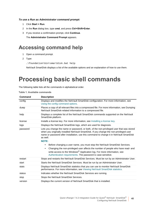#### *To use a Run as Administrator command prompt:*

- 1 Click **Start > Run**.
- 2 In the **Run** dialog box, type **cmd**, and press **Ctrl+Shift+Enter**.
- 3 If you receive a confirmation prompt, click **Continue**.

The **Administrator Command Prompt** appears.

### <span id="page-39-0"></span>**Accessing command help**

- 1 Open a command prompt.
- 2 Type:

…\foundation\bin\smartdisk.bat help

NetVault SmartDisk displays a list of the available options and an explanation of how to use them.

## <span id="page-39-1"></span>**Processing basic shell commands**

The following table lists all the commands in alphabetical order.

| Table 1. Available commands |  |
|-----------------------------|--|
|-----------------------------|--|

| Command  | <b>Description</b>                                                                                                                                                                                                                                                                                                                                                                                                                                                                                                                                                                                                                     |
|----------|----------------------------------------------------------------------------------------------------------------------------------------------------------------------------------------------------------------------------------------------------------------------------------------------------------------------------------------------------------------------------------------------------------------------------------------------------------------------------------------------------------------------------------------------------------------------------------------------------------------------------------------|
| config   | Displays and modifies the NetVault SmartDisk configuration. For more information, see<br>Using the config command options.                                                                                                                                                                                                                                                                                                                                                                                                                                                                                                             |
| dump     | Places a copy of all relevant files into a compressed file. For more information, see Dumping<br>NetVault SmartDisk-related information to a compressed file.                                                                                                                                                                                                                                                                                                                                                                                                                                                                          |
| help     | Displays a complete list of the NetVault SmartDisk commands supported on the NetVault<br>SmartDisk platform.                                                                                                                                                                                                                                                                                                                                                                                                                                                                                                                           |
| license  | Installs a license key. For more information, see Installing a license key.                                                                                                                                                                                                                                                                                                                                                                                                                                                                                                                                                            |
| logs     | Displays the NetVault SmartDisk logs, which are used for diagnosis.                                                                                                                                                                                                                                                                                                                                                                                                                                                                                                                                                                    |
| password | Lets you change the name or password, or both, of the non-privileged user that was stored<br>when you originally installed NetVault SmartDisk. If you change the non-privileged user<br>name or password after installation, use this command to change it in NetVault SmartDisk<br>as well.<br><b>NOTE:</b><br>Before changing a user name, you must stop the NetVault SmartDisk Services.<br>Changing the non-privileged user affects the number of people who have read- and<br>write-access to the Windows <sup>®</sup> Application log. For more information, see<br>Authentication requirements. The password is case-sensitive. |
| restart  | Stops and restarts the NetVault SmartDisk Services. Must be run by an Administrator User.                                                                                                                                                                                                                                                                                                                                                                                                                                                                                                                                              |
| start    | Starts the NetVault SmartDisk Services. Must be run by an Administrator User.                                                                                                                                                                                                                                                                                                                                                                                                                                                                                                                                                          |
| stats    | Displays NetVault SmartDisk statistics that you can use to monitor NetVault SmartDisk<br>performance. For more information, see Viewing NetVault SmartDisk statistics.                                                                                                                                                                                                                                                                                                                                                                                                                                                                 |
| status   | Indicates whether the NetVault SmartDisk Services are running.                                                                                                                                                                                                                                                                                                                                                                                                                                                                                                                                                                         |
| stop     | Stops the NetVault SmartDisk Services.                                                                                                                                                                                                                                                                                                                                                                                                                                                                                                                                                                                                 |
| version  | Displays the current version of NetVault SmartDisk that is installed.                                                                                                                                                                                                                                                                                                                                                                                                                                                                                                                                                                  |

**40**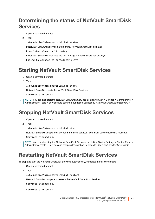## <span id="page-40-0"></span>**Determining the status of NetVault SmartDisk Services**

- 1 Open a command prompt.
- 2 Type:

…\foundation\bin\smartdisk.bat status

If NetVault SmartDisk services are running, NetVault SmartDisk displays:

Percolator slave is listening

If NetVault SmartDisk Services are not running, NetVault SmartDisk displays:

```
Failed to connect to percolator slave
```
### <span id="page-40-5"></span><span id="page-40-1"></span>**Starting NetVault SmartDisk Services**

- 1 Open a command prompt.
- 2 Type:

…\foundation\bin\smartdisk.bat start

NetVault SmartDisk starts the NetVault SmartDisk Services.

Services started ok.

**NOTE:** You can also start the NetVault SmartDisk Services by clicking Start > Settings > Control Panel > i l Administrative Tools > Services and starting Foundation Services ID *<NetVaultSmartDiskInstanceID>*.

## <span id="page-40-4"></span><span id="page-40-2"></span>**Stopping NetVault SmartDisk Services**

- 1 Open a command prompt.
- 2 Type:

…\foundation\bin\smartdisk.bat stop

NetVault SmartDisk stops the NetVault SmartDisk Services. You might see the following message.

Services stopped ok.

**NOTE:** You can also stop the NetVault SmartDisk Services by clicking Start > Settings > Control Panel > Administrative Tools > Services and stopping Foundation Services ID *<NetVaultSmartDiskInstanceID>*.

### <span id="page-40-3"></span>**Restarting NetVault SmartDisk Services**

To stop and start the NetVault SmartDisk Services automatically, complete the following steps:

- 1 Open a command prompt.
- 2 Type:

.

…\foundation\bin\smartdisk.bat restart

NetVault SmartDisk stops and restarts the NetVault SmartDisk Services.

Services stopped ok.

Services started ok.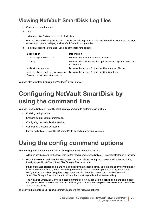## <span id="page-41-0"></span>**Viewing NetVault SmartDisk Log files**

- 1 Open a command prompt.
- 2 Type:

…\foundation\bin\smartdisk.bat logs

NetVault SmartDisk displays the NetVault SmartDisk Logs and all relevant information. When you run **logs** without any options, it displays all NetVault SmartDisk log entries.

3 To display specific information, use one of the following options:

| Logs option                                                                   | <b>Description</b>                                                                 |
|-------------------------------------------------------------------------------|------------------------------------------------------------------------------------|
| --file <pathtofile></pathtofile>                                              | Displays the contents of the specified file.                                       |
| --help                                                                        | Displays a list of the available options and an explanation of how<br>to use them. |
| --last-hours <x></x>                                                          | Displays the records for the specified number of hours.                            |
| --time-interval <yyyy-mm-dd-<br>hhmmss yyyy-mm-dd-hhmmss&gt;</yyyy-mm-dd-<br> | Displays the records for the specified time frame.                                 |

You can also view logs by using the Windows® **Event Viewer**.

## <span id="page-41-1"></span>**Configuring NetVault SmartDisk by using the command line**

You can use the NetVault SmartDisk CLI **config** command to perform tasks such as:

- **•** Enabling deduplication.
- **•** Enabling deduplication compression.
- **•** Configuring the deduplication window.
- **•** Configuring Garbage Collection.
- **•** Extending NetVault SmartDisk Storage Pools by adding additional volumes.

## <span id="page-41-3"></span><span id="page-41-2"></span>**Using the config command options**

Before using the NetVault SmartDisk CLI **config** command, note the following:

- **•** All times are displayed in the local time for the machine where the NetVault SmartDisk Instance is installed.
- **•** With the **--volume** and **--pool** options, the *<path>* and *<label>* strings are case-sensitive because they identify a specific NetVault SmartDisk Storage Pool or Volume.
- **•** If a configuration-related command fails and displays a message similar to "Failed to apply configuration," Quest recommends that you use the **config** command with the **--show** option to display the current configuration. After displaying the configuration, double-check the case of the specified NetVault SmartDisk Storage Pool or Volume to ensure that the strings reflect the case-sensitivity.
- **•** The NetVault SmartDisk Services must be running before you can use the **config** command and most of the options. To view the options that are available, you can use the **--help** option while NetVault SmartDisk Services are offline.

The NetVault SmartDisk CLI **config** command supports the following options: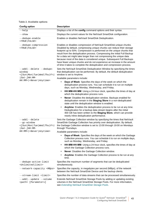#### **Table 2. Available options**

| <b>Config option</b>                                                                                                      | <b>Description</b>                                                                                                                                                                                                                                                                                                                                                                                                                                                                                                                                                                                                 |
|---------------------------------------------------------------------------------------------------------------------------|--------------------------------------------------------------------------------------------------------------------------------------------------------------------------------------------------------------------------------------------------------------------------------------------------------------------------------------------------------------------------------------------------------------------------------------------------------------------------------------------------------------------------------------------------------------------------------------------------------------------|
| --help                                                                                                                    | Displays a list of the config command options and their syntax.                                                                                                                                                                                                                                                                                                                                                                                                                                                                                                                                                    |
| --show                                                                                                                    | Displays the current values for the NetVault SmartDisk configuration.                                                                                                                                                                                                                                                                                                                                                                                                                                                                                                                                              |
| --dedupe-enable<br>$\langle TRUE FALSE \rangle$                                                                           | Enables or disables NetVault SmartDisk Deduplication.                                                                                                                                                                                                                                                                                                                                                                                                                                                                                                                                                              |
| --dedupe-compression<br>$<$ TRUE   FALSE>                                                                                 | Enables or disables compression of NetVault SmartDisk-unique chunks.<br>Disabled by default, compressing unique chunks can reduce their storage<br>footprint up to 50%. Compression is performed on the unique chunks that<br>result from the deduplication process. Compressing the initial Full Backup<br>for a data set might take longer than not compressing the unique data<br>because most of the data is considered unique. Subsequent Full Backups<br>have fewer unique chunks and do not experience an increase in the amount<br>of time it takes to complete the deduplication and compression process. |
| --add  --delete --dedupe-<br>window<br><[Sun Mon Tue Wed Thu Fri                                                          | Sets the NetVault SmartDisk Deduplication Window by specifying the times<br>that deduplication can be performed. By default, the default deduplication<br>window is set to Anytime.                                                                                                                                                                                                                                                                                                                                                                                                                                |
| $ Sat-JHH:MM-$<br>HH: MM>   <never anytime=""  =""></never>                                                               | Available parameters include:                                                                                                                                                                                                                                                                                                                                                                                                                                                                                                                                                                                      |
|                                                                                                                           | Days of Week: Specifies the days of the week on which the<br>deduplication process runs. You can schedule it to run on multiple<br>days, such as Monday, Wednesday, and Friday.                                                                                                                                                                                                                                                                                                                                                                                                                                    |
|                                                                                                                           | HH:MM-HH:MM: Using a 24-hour clock, specifies the times of day at<br>which the deduplication process runs.                                                                                                                                                                                                                                                                                                                                                                                                                                                                                                         |
|                                                                                                                           | Never: Disables the deduplication window. Backups enabled for<br>deduplication remain in the Staging Store in a non-deduplicated<br>state until the deduplication window is enabled.                                                                                                                                                                                                                                                                                                                                                                                                                               |
|                                                                                                                           | Anytime: Enables the deduplication process to be run at any time.<br>Deduplication for a backup data stream begins after the initial<br>400 GB has been written to the Staging Store, which can provide<br>nearly inline deduplication performance.                                                                                                                                                                                                                                                                                                                                                                |
| --add --delete<br>--gc-window<br><[Sun Mon Tue Wed Thu Fri<br>$ Sat-JHH:MM-$<br>HH: MM>   <never anytime=""  =""></never> | Sets the Garbage Collection window by specifying the times that NetVault<br>SmartDisk Garbage Collection has priority over deduplication. By default,<br>the Garbage Collection window is set to 13:00 through 19:00 on Mondays<br>through Thursdays.<br>Available parameters include:                                                                                                                                                                                                                                                                                                                             |
|                                                                                                                           | Days of Week: Specifies the days of the week on which the Garbage<br>Collection process runs. You can schedule it to run on multiple days,<br>such as Monday, Wednesday, and Friday.                                                                                                                                                                                                                                                                                                                                                                                                                               |
|                                                                                                                           | HH:MM-HH:MM: Using a 24-hour clock, specifies the times of day at<br>$\bullet$<br>which the Garbage Collection process runs.                                                                                                                                                                                                                                                                                                                                                                                                                                                                                       |
|                                                                                                                           | Never: Disables the Garbage Collection window.<br>$\bullet$                                                                                                                                                                                                                                                                                                                                                                                                                                                                                                                                                        |
|                                                                                                                           | Anytime: Enables the Garbage Collection process to be run at any<br>time.                                                                                                                                                                                                                                                                                                                                                                                                                                                                                                                                          |
| --dedupe-active-limit<br>$\verb  $                                                                                        | Specifies the maximum number of segments that can be deduplicated<br>simultaneously.                                                                                                                                                                                                                                                                                                                                                                                                                                                                                                                               |
| --network-capacity <mbps></mbps>                                                                                          | Specifies the capacity, in megabytes per second (MBps), of the network<br>between the NetVault SmartDisk Device and the backup clients.                                                                                                                                                                                                                                                                                                                                                                                                                                                                            |
| --stream-limit <limit></limit>                                                                                            | Specifies the number of data streams that can be processed simultaneously.                                                                                                                                                                                                                                                                                                                                                                                                                                                                                                                                         |
| --add  --update --volume<br><path> [Parameters]</path>                                                                    | Extends NetVault SmartDisk Storage Pools by adding or updating existing<br>volumes in the NetVault SmartDisk Storage Pools. For more information,<br>see Extending NetVault SmartDisk Storage Pools.                                                                                                                                                                                                                                                                                                                                                                                                               |

Quest vRanger 7.6.3 Integration Guide for Quest® NetVault SmartDisk® Configuring NetVault SmartDisk

**43**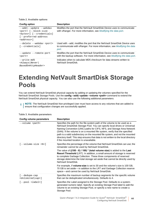**Table 2. Available options**

| Config option                                                                                                                                 | <b>Description</b>                                                                                                                                               |
|-----------------------------------------------------------------------------------------------------------------------------------------------|------------------------------------------------------------------------------------------------------------------------------------------------------------------|
| --add --update --webdav<br><port> [--block-size<br/><br/> stes&gt; ] [--credentials]<br/>[--preferred-address<br/><address>1</address></port> | Modifies the port that the NetVault SmartDisk Device uses to communicate<br>with vRanger. For more information, see Modifying the data port.                     |
| --delete --webday <port><br/>[--credentials]</port>                                                                                           | Used with --add, modifies the port that the NetVault SmartDisk Device uses<br>to communicate with vRanger. For more information, see Modifying the data<br>port. |
| --update --remote-port<br>$<$ port>                                                                                                           | Modifies the port that the NetVault SmartDisk Device uses to communicate<br>with the backup software. For more information, see <i>Modifying the data port</i> . |
| $--write-md5$<br>$\langle$ Always/Never/<br>BasedOnHttpHeader>                                                                                | Indicates when to calculate MD5 checksum for data streams written to<br>NetVault SmartDisk.                                                                      |

## <span id="page-43-1"></span><span id="page-43-0"></span>**Extending NetVault SmartDisk Storage Pools**

You can extend NetVault SmartDisk physical capacity by adding or updating the volumes specified for the NetVault SmartDisk Storage Pools. Use the **config --add|--update --volume** *<path>* command to extend the NetVault SmartDisk physical capacity. You can also use the following additional parameters:

<sup>1</sup> | NOTE: The NetVault SmartDisk Non-privileged User must have access to any volumes that are added to ensure that configuration changes are successfully applied.

| Config volume parameters                    | <b>Description</b>                                                                                                                                                                                                                                                                                                                                                                                                                                                                                                                |
|---------------------------------------------|-----------------------------------------------------------------------------------------------------------------------------------------------------------------------------------------------------------------------------------------------------------------------------------------------------------------------------------------------------------------------------------------------------------------------------------------------------------------------------------------------------------------------------------|
| --volume <path></path>                      | Specifies the path for the file-system path of the volume to be used as a<br>NetVault SmartDisk Storage Pool. You can specify local drives or Universal<br>Naming Convention (UNC) paths for CIFS, NFS, and Storage Area Network<br>(SAN). If the volume is on a mounted file system, verify that the specified<br>path is a valid subdirectory on the mounted file system, and not the mounted<br>directory itself. This step ensures that data is not written to the local directory<br>if the mounted location is unavailable. |
| $[--volume-size 8$ ]                        | Specifies the percentage of the volume that NetVault SmartDisk can use; the<br>remainder cannot be used by NetVault SmartDisk.                                                                                                                                                                                                                                                                                                                                                                                                    |
|                                             | The value of $((100 - X) / 100) * (total volume size)$ is added to the Last<br>Resort Threshold (LRT). In addition, a small amount of storage is reserved<br>to complete Garbage Collection. These three components of reserved<br>storage determine the total storage set aside that cannot be directly used by<br>NetVault SmartDisk.                                                                                                                                                                                           |
|                                             | For example, if <b>volume-size</b> is set to 30 and the volume's size is 100 GB,<br>70 GB is set aside-in addition to the LRT and Garbage Collection reserve<br>space—and cannot be used by NetVault SmartDisk.                                                                                                                                                                                                                                                                                                                   |
| $[- -d$ edupe $-cap$<br>$<$ Unlimited $cap$ | Specifies the maximum number of backup segments for the specific volume<br>that can be deduplicated simultaneously. Defaults to 4.                                                                                                                                                                                                                                                                                                                                                                                                |
| $[--pool  = label >]$                       | Specifies the Label assigned to the Storage Pool. Defaults to a system-<br>generated numeric label. Specify an existing Storage Pool label to add the<br>volume to an existing Storage Pool, or specify a new name to create a<br>Storage Pool.                                                                                                                                                                                                                                                                                   |
|                                             |                                                                                                                                                                                                                                                                                                                                                                                                                                                                                                                                   |

**Table 3. Available parameters**

```
Quest vRanger 7.6.3 Integration Guide for Quest<sup>®</sup> NetVault SmartDisk<sup>®</sup>
                                             Configuring NetVault SmartDisk
                                                                                       44
```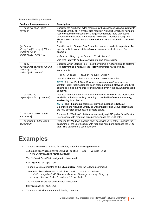**Table 3. Available parameters**

| <b>Config volume parameters</b>                                                                                                   | <b>Description</b>                                                                                                                                                                                                                                                                                                                                                                             |
|-----------------------------------------------------------------------------------------------------------------------------------|------------------------------------------------------------------------------------------------------------------------------------------------------------------------------------------------------------------------------------------------------------------------------------------------------------------------------------------------------------------------------------------------|
| [--reservation-size<br><bytes>]</bytes>                                                                                           | Specifies the number of bytes reserved by the processes streaming data into<br>NetVault SmartDisk. A smaller size results in NetVault SmartDisk having to<br>reserve space more frequently; a larger size renders more disk space<br>temporarily unavailable. If the Space. Available-reported through the<br>show option-is less than the reservation-size, the volume is considered<br>FULL. |
| $[- -$ favour<br><staging "chunk<br="" storage=""  ="">Index"   "Disk<br/>Index''/All/None &gt;]</staging>                        | Specifies which Storage Pool Roles the volume is available to perform. To<br>specify multiple roles, list the --favour parameter multiple times. For<br>example:<br>--favour Staging --favour "Disk Index"<br>Use with --deny to dedicate a volume to one or more roles.                                                                                                                       |
| $[- -$ deny                                                                                                                       | Specifies which Storage Pool Roles the volume is <b>not</b> available to perform.                                                                                                                                                                                                                                                                                                              |
| <staging "chunk<="" storage="" td=""  =""><td>To specify multiple roles, list the --deny parameter multiple times.</td></staging> | To specify multiple roles, list the --deny parameter multiple times.                                                                                                                                                                                                                                                                                                                           |
| Index"   "Disk                                                                                                                    | For example:                                                                                                                                                                                                                                                                                                                                                                                   |
| Index''/All/None >]                                                                                                               | --deny Storage --favour "Chunk Index"                                                                                                                                                                                                                                                                                                                                                          |
|                                                                                                                                   | Use with --favour to dedicate a volume to one or more roles.                                                                                                                                                                                                                                                                                                                                   |
|                                                                                                                                   | NOTE: After NetVault SmartDisk uses a volume as a Chunk Index or<br>Content Index, that is, data has been staged or stored, NetVault SmartDisk<br>continues to use the volume for this purpose, even if this parameter is used<br>to deny it.                                                                                                                                                  |
| [--balancing<br><space activity="" none=""  ="">]</space>                                                                         | Instructs NetVault SmartDisk to use the volume with either the most space<br>available or the least activity occurring. If used with --favour and --deny,<br>--balancing is applied last.                                                                                                                                                                                                      |
|                                                                                                                                   | NOTE: The --balancing parameter provides guidance to NetVault<br>SmartDisk; the NetVault SmartDisk Disk Manager and Deduplicator make<br>the final decision about how to allocate space.                                                                                                                                                                                                       |
| $[- - \text{account} < UNC-path-$<br>$account >$ ]                                                                                | Required for Windows <sup>®</sup> platform when specifying UNC paths. Specifies the<br>user account with read and write permissions to the UNC path.                                                                                                                                                                                                                                           |
| [--password <unc-path-<br>password&gt;]</unc-path-<br>                                                                            | Required for Windows platform when specifying UNC paths. Specifies the<br>password for the user account with read and write permissions to the UNC<br>path. This password is case-sensitive.                                                                                                                                                                                                   |

## <span id="page-44-0"></span>**Examples**

**•** To add a volume that is used for all roles, enter the following command:

```
…\foundation\bin\smartdisk.bat config --add --volume \mnt 
  \<newNetVaultSmartDiskVolume>
```
The NetVault SmartDisk configuration is updated.

Configuration applied

**•** To add a volume dedicated to the **Chunk Store**, enter the following command:

```
…\foundation\bin\smartdisk.bat config --add --volume 
  c:\SDStoragePools2\Store --favour Storage --deny Staging 
  --deny "Chunk Index" --deny "Disk Index"
```
The NetVault SmartDisk configuration is updated.

Configuration applied

**•** To add a CIFS share, enter the following command: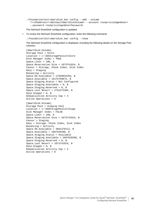…\foundation\bin\smartdisk.bat config --add --volume \\*<IPaddress>*\*<NetVaultSmartDiskVolume>* --account *<nonpriviledgedUser>*  --password *<nonprivilegedUserPassword>*

The NetVault SmartDisk configuration is updated.

**•** To review the NetVault SmartDisk configuration, enter the following command:

…\foundation\bin\smartdisk.bat config --show

The NetVault SmartDisk configuration is displayed, including the following details on the Storage Pool volumes:

```
[SmartDisk:Volume]
Storage Pool = Store
Location = c:\SDStoragePools2\Store
Disk Manager Index = TRUE
Space.Limit = 100, %
Space.Reservation Size = 1073741824, B
Favour = Storage, Chunk Index, Disk Index
Deny = Staging
Balancing = Activity
Space.OS.Available = 17928032256, B
Space.Available = 15175759872, B
Space.Staging.Status = Not Configured
Space.Staging.Available = 0, B
Space.Staging.Reserved = 0, B
Space.Last Resort = 2752272384, B
Data.Staged = 0, B
Deduplication Activity Cap = 4
Active Operations = 0
```

```
[SmartDisk:Volume]
Storage Pool = Staging Pool
Location = c:\SDStoragePools2\Stage
Disk Manager Index = FALSE
Space.Limit = 100, %Space.Reservation Size = 1073741824, B
Favour = Staging
Deny = Storage, Chunk Index, Disk Index
Balancing = Activity
Space.OS.Available = 3681370112, B
Space.Available = 2607628288, B
Space.Staging.Status = Available
Space.Staging.Available = 2607628288, B
Space.Staging.Reserved = 0, B
Space.Last Resort = 1073741824, B
Data.Staged = 0, B
Deduplication Activity Cap = 4
Active Operations = 0
```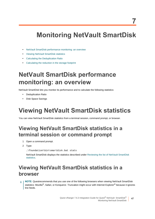## <span id="page-46-0"></span>**Monitoring NetVault SmartDisk**

- **•** [NetVault SmartDisk performance monitoring: an overview](#page-46-1)
- **•** [Viewing NetVault SmartDisk statistics](#page-46-2)
- **•** [Calculating the Deduplication Ratio](#page-50-0)
- **•** [Calculating the reduction in the storage footprint](#page-50-1)

## <span id="page-46-1"></span>**NetVault SmartDisk performance monitoring: an overview**

NetVault SmartDisk lets you monitor its performance and to calculate the following statistics:

- **•** Deduplication Ratio
- **•** Disk Space Savings

## <span id="page-46-5"></span><span id="page-46-2"></span>**Viewing NetVault SmartDisk statistics**

You can view NetVault SmartDisk statistics from a terminal session, command prompt, or browser.

## <span id="page-46-3"></span>**Viewing NetVault SmartDisk statistics in a terminal session or command prompt**

- 1 Open a command prompt.
- 2 Type:

…\foundation\bin\smartdisk.bat stats

NetVault SmartDisk displays the statistics described under [Reviewing the list of NetVault SmartDisk](#page-47-0)  [statistics](#page-47-0).

## <span id="page-46-4"></span>**Viewing NetVault SmartDisk statistics in a browser**

**NOTE:** Questrecommends that you use one of the following browsers when viewing NetVault SmartDisk statistics: Mozilla<sup>®</sup>, Safari, or Konqueror. Truncation might occur with Internet Explorer<sup>®</sup> because it ignores line feeds.

> Quest vRanger 7.6.3 Integration Guide for Quest® NetVault SmartDisk® Monitoring NetVault SmartDisk **47**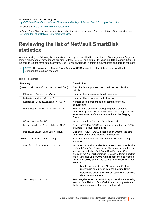In a browser, enter the following URL: http://*<NetVaultSmartDisk\_Instance\_Hostname>*:*<Backup\_Software\_Client\_Port>*/proc/stats.stnz

For example: http://10.1.0.0:37453/proc/stats.stnz

NetVault SmartDisk displays the statistics in XML format in the browser. For a description of the statistics, see [Reviewing the list of NetVault SmartDisk statistics.](#page-47-0)

## <span id="page-47-0"></span>**Reviewing the list of NetVault SmartDisk statistics**

When reviewing the following list of statistics, a backup job is divided into a minimum of two segments: Segments contain either data or metadata and are smaller than 400 GB. For example, if the backup data stream is 1200 GB, the backup job has three data segments. One NetVault SmartDisk element is equivalent to one backup segment.

**NOTE:** The status of the **Chunk Store Daemon (CSD)** affects the list of statistics displayed for the i Dedupe:StatusSubsys segment.

| <b>Stat entry</b>                   | <b>Description</b>                                                                                                                                                                                                                                                                                                                                                                                                                               |
|-------------------------------------|--------------------------------------------------------------------------------------------------------------------------------------------------------------------------------------------------------------------------------------------------------------------------------------------------------------------------------------------------------------------------------------------------------------------------------------------------|
| [SmartDisk:Deduplication Scheduler] | Statistics for the process that schedules deduplication<br>activity.                                                                                                                                                                                                                                                                                                                                                                             |
| Elements. Queued = $<\!>No.>$       | Number of segments awaiting deduplication.                                                                                                                                                                                                                                                                                                                                                                                                       |
| Data. Queued = $ >, B$              | Number of bytes awaiting deduplication.                                                                                                                                                                                                                                                                                                                                                                                                          |
| Elements. Deduplicating = $No.$     | Number of elements or backup segments currently<br>deduplicating.                                                                                                                                                                                                                                                                                                                                                                                |
| Data.Deduplicating = $No.$ , B      | Total size of elements or backup segments currently<br>deduplicating. After all current deduplication completes, the<br>equivalent amount of data is removed from the Staging<br>Store.                                                                                                                                                                                                                                                          |
| $GC$ Active = FALSE                 | Indicates whether Garbage Collection is active.                                                                                                                                                                                                                                                                                                                                                                                                  |
| Deduplication Available = TRUE      | Displays TRUE or FALSE depending on whether the CSD is<br>available for deduplication tasks.                                                                                                                                                                                                                                                                                                                                                     |
| Deduplication Enabled = TRUE        | Displays TRUE or FALSE depending on whether the data-<br>deduplication option is licensed and enabled.                                                                                                                                                                                                                                                                                                                                           |
| [SmartDisk:RAS Controller]          | Statistics for the process that interacts with your backup<br>software.                                                                                                                                                                                                                                                                                                                                                                          |
| Availability Score = <no.></no.>    | Indicates how available a backup server should consider this<br>NetVault SmartDisk Device to be. The lower the number, the<br>less available the NetVault SmartDisk Device is, Given a<br>choice of two NetVault SmartDisk Devices to target a backup<br>job to, your backup software might choose the one with the<br>higher Availability Score. The score takes the following into<br>account:<br>Number of data streams NetVault SmartDisk is |
|                                     | receiving in or retrieving from the Staging Store.<br>Percentage of available network bandwidth that these<br>٠<br>data streams are using.                                                                                                                                                                                                                                                                                                       |
| Sent MBps = $$                      | Total megabytes per second (MBps) across all streams being<br>sent out from NetVault SmartDisk to your backup software;<br>that is, when a restore job is being performed.                                                                                                                                                                                                                                                                       |

**Table 1. Statistics**

Quest vRanger 7.6.3 Integration Guide for Quest<sup>®</sup> NetVault SmartDisk<sup>®</sup> Monitoring NetVault SmartDisk **48**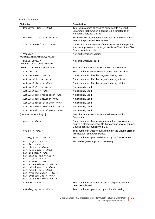| <b>Stat entry</b>                                                                                                                                                                                                                                                                    | <b>Description</b>                                                                                                                                          |
|--------------------------------------------------------------------------------------------------------------------------------------------------------------------------------------------------------------------------------------------------------------------------------------|-------------------------------------------------------------------------------------------------------------------------------------------------------------|
| Received MBps = $$                                                                                                                                                                                                                                                                   | Total MBps across all streams being sent to NetVault<br>SmartDisk; that is, when a backup job is targeted to an<br>NetVault SmartDisk Device.               |
| Machine ID = $<3-XXXX-XXX>$                                                                                                                                                                                                                                                          | Machine ID of the NetVault SmartDisk Instance that is used<br>to obtain a permanent license key.                                                            |
| Soft stream limit = $No.$                                                                                                                                                                                                                                                            | Current maximum number of data streams or backups that<br>your backup software can target to this NetVault SmartDisk<br>Device simultaneously.              |
| Version =<br><netvaultsmartdiskversion></netvaultsmartdiskversion>                                                                                                                                                                                                                   | NetVault SmartDisk version                                                                                                                                  |
| Build Level =<br><netvaultsmartdiskbuild></netvaultsmartdiskbuild>                                                                                                                                                                                                                   | NetVault SmartDisk build                                                                                                                                    |
| [SmartDisk:Service Manager]                                                                                                                                                                                                                                                          | Statistics for the NetVault SmartDisk Task Manager.                                                                                                         |
| $Active = 0$                                                                                                                                                                                                                                                                         | Total number of active NetVault SmartDisk operations.                                                                                                       |
| $Active.read = No.$                                                                                                                                                                                                                                                                  | Current number of backup segments being read.                                                                                                               |
| $Active.Write = No.$                                                                                                                                                                                                                                                                 | Current number of backup segments being written.                                                                                                            |
| $Active. Delete = NO.>$                                                                                                                                                                                                                                                              | Current number of backup segments being deleted.                                                                                                            |
| $Active.MkDir = No.$                                                                                                                                                                                                                                                                 | Not currently used.                                                                                                                                         |
| $Active.Move = No.$                                                                                                                                                                                                                                                                  | Not currently used.                                                                                                                                         |
| Active.Read Properties= <no.></no.>                                                                                                                                                                                                                                                  | Not currently used.                                                                                                                                         |
| Active.Read Options= <no.></no.>                                                                                                                                                                                                                                                     | Not currently used.                                                                                                                                         |
| Active.Delete Staging= <no.></no.>                                                                                                                                                                                                                                                   | Not currently used.                                                                                                                                         |
| Active.Delete Rollback= <no.></no.>                                                                                                                                                                                                                                                  | Not currently used.                                                                                                                                         |
| Active.Rollback Element= <no.></no.>                                                                                                                                                                                                                                                 | Not currently used.                                                                                                                                         |
| [Dedupe: StatSubsys]                                                                                                                                                                                                                                                                 | Statistics for the NetVault SmartDisk Deduplication<br>Processes.                                                                                           |
| pages = $$                                                                                                                                                                                                                                                                           | Current number of chunk pages stored on disk. A chunk<br>page is a storage object or file that contains several chunks.<br>Chunk pages are typically 64 MB. |
| chunks = $\langle No. \rangle$                                                                                                                                                                                                                                                       | Total number of unique chunks stored in the Chunk Store of<br>this NetVault SmartDisk Device.                                                               |
| index bytes = $<\!\!No.\!\!>$                                                                                                                                                                                                                                                        | Total number of bytes on disk used by the Chunk Index.                                                                                                      |
| $num.pages = No$ .<br>$num.lcp = No.$<br>$num.$ chunks = $num.pages_max = num.lcp_max = No.num.chunks_max = \langle No. \ranglenum.hits = No.num.misses = num.store_misses = num.added_pages = No.num.added_lcp = No.num.evicted_pages = num.evicted_lcp = num.cache_meanory = NO.>$ | For use by Quest Support, if necessary.                                                                                                                     |
| streams = $$                                                                                                                                                                                                                                                                         | Total number of elements or backup segments that have<br>been deduplicated.                                                                                 |
| $catalog_bytes = No.$                                                                                                                                                                                                                                                                | Total number of bytes used by a volume's catalog.                                                                                                           |

Quest vRanger 7.6.3 Integration Guide for Quest® NetVault SmartDisk® Monitoring NetVault SmartDisk **49**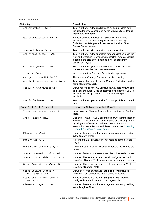#### **Table 1. Statistics**

| <b>Stat entry</b>                                         | <b>Description</b>                                                                                                                                                                                                                                                              |
|-----------------------------------------------------------|---------------------------------------------------------------------------------------------------------------------------------------------------------------------------------------------------------------------------------------------------------------------------------|
| ondisk_bytes = $<\!>No.>$                                 | Total number of bytes on disk used by deduplicated data.<br>Includes the bytes consumed by the Chunk Store, Chunk<br>Index, and Manifests.                                                                                                                                      |
| $gc\_reserve_bytes = No.$                                 | Number of bytes that NetVault SmartDisk must keep<br>available on a file system to guarantee that Garbage<br>Collection can take place. Increases as the size of the<br><b>Chunk Store increases.</b>                                                                           |
| $stream_bytes = No.$                                      | Total number of bytes submitted for deduplication.                                                                                                                                                                                                                              |
| $csd. stream_bytes = No.$                                 | Total number of bytes submitted for deduplication since the<br>NetVault SmartDisk Services were started. When a backup<br>is retired, the size of the backups is not deleted from<br>csd.stream_bytes.                                                                          |
| $csd.$ chunk_bytes = $<No.$                               | Total number of bytes of unique chunks stored since the<br>NetVault SmartDisk Services were started.                                                                                                                                                                            |
| $in\_gc = $                                               | Indicates whether Garbage Collection is happening.                                                                                                                                                                                                                              |
| $csd.qc\_state = Not in GC$                               | The phase of Garbage Collection that is occurring.                                                                                                                                                                                                                              |
| csd.last_successful_gc = <no.></no.>                      | Time stamp that indicates when Garbage Collection was last<br>completed successfully.                                                                                                                                                                                           |
| status = <currentstatus></currentstatus>                  | Status reported by the CSD; includes Available, Unavailable,<br>and NotConfigured. Used to determine whether the CSD is<br>available for deduplication tasks and whether space is<br>available.                                                                                 |
| $available_bytes = No.$                                   | Total number of bytes available for storage of deduplicated<br>data.                                                                                                                                                                                                            |
| [SmartDisk:Disk Storage]                                  | Statistics for NetVault SmartDisk Disk Storage.                                                                                                                                                                                                                                 |
| Index.Location =                                          | Location of the Staging Store volume used for the Content<br>Index.                                                                                                                                                                                                             |
| Index.Fixed = TRUE                                        | Displays TRUE or FALSE depending on whether the location<br>is fixed (TRUE) or can be moved to another location (FALSE)<br>by using the --favour and --deny options. For more<br>information on the favour and deny options, see Extending<br>NetVault SmartDisk Storage Pools. |
| Elements = $$                                             | Number of elements or backup segments currently residing<br>in the Storage Pools.                                                                                                                                                                                               |
| Data = $<\!NO.>$ , B                                      | Amount of data, in bytes, currently residing in the Storage<br>Pools.                                                                                                                                                                                                           |
| Data.Committed = $<\!>No.$ > B                            | Amount of data, in bytes, that has completed the write-to-disk<br>process.                                                                                                                                                                                                      |
| Space.Licensed = Unlimited                                | Number of GB that NetVault SmartDisk is licensed to protect.                                                                                                                                                                                                                    |
| Space. OS. Available = $<\!>No.$ >, B                     | Number of bytes available across all configured NetVault<br>SmartDisk Storage Pools; reported by the operating system.                                                                                                                                                          |
| Space.Available = $No.$ , B                               | Number of bytes available across all configured NetVault<br>SmartDisk Storage Pools.                                                                                                                                                                                            |
| Space.Staging.Status =<br><currentstatus></currentstatus> | Status of NetVault SmartDisk Staging Store; includes<br>Available, Full, Unlicensed, and License Exceeded.                                                                                                                                                                      |
| Space.Staging.Available =<br>$, B$                        | Number of bytes available for Staging Store across all<br>configured NetVault SmartDisk Storage Pools.                                                                                                                                                                          |
| Elements. Staged = $No.$                                  | Number of elements or backup segments currently residing<br>in the Staging Store.                                                                                                                                                                                               |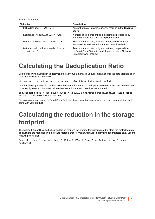**Table 1. Statistics**

| <b>Stat entry</b>                              | <b>Description</b>                                                                                                                            |
|------------------------------------------------|-----------------------------------------------------------------------------------------------------------------------------------------------|
| Data.Staged = $), B$                           | Amount of data, in bytes, currently residing in the Staging<br>Store.                                                                         |
| Elements Accumulative = $\langle No. \rangle$  | Number of elements or backup segments processed by<br>NetVault SmartDisk since its implementation.                                            |
| Data.Accumulative = $No.$ , B                  | Total amount of data, in bytes, processed by NetVault<br>SmartDisk since NetVault SmartDisk was installed.                                    |
| $Data. Committee. According to the =$<br>$. B$ | Total amount of data, in bytes, that has completed the<br>NetVault SmartDisk write-to-disk process since NetVault<br>SmartDisk was installed. |

## <span id="page-50-0"></span>**Calculating the Deduplication Ratio**

Use the following calculation to determine the NetVault SmartDisk Deduplication Ratio for the data that has been protected by NetVault SmartDisk:

stream\_bytes / ondisk\_bytes = NetVault SmartDisk Deduplication Ratio

Use the following calculation to determine the NetVault SmartDisk Deduplication Ratio for the data that has been protected by NetVault SmartDisk since the NetVault SmartDisk Services were started:

csd.stream\_bytes / csd.chunk\_bytes = NetVault SmartDisk Deduplication Ratio since NetVault SmartDisk were started

For information on viewing NetVault SmartDisk statistics in your backup software, see the documentation that came with your product.

## <span id="page-50-1"></span>**Calculating the reduction in the storage footprint**

The NetVault SmartDisk Deduplication Option reduces the storage footprint required to store the protected data. To calculate the reduction in the storage footprint that NetVault SmartDisk is providing for protected data, use the following calculation:

(ondisk.bytes / stream.bytes) \* 100 = NetVault SmartDisk Reduction in Storage Footprint